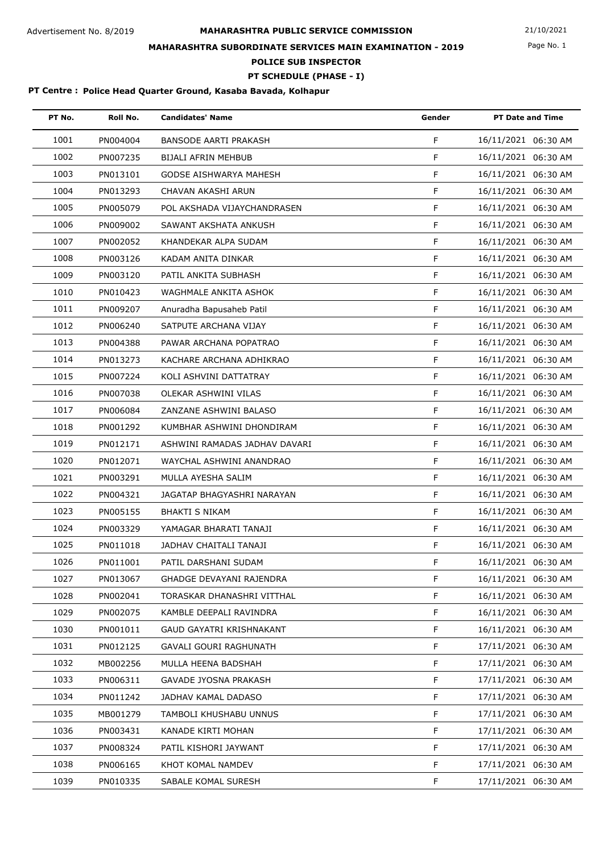Page No. 1

## **MAHARASHTRA SUBORDINATE SERVICES MAIN EXAMINATION - 2019**

**POLICE SUB INSPECTOR**

## **PT SCHEDULE (PHASE - I)**

| PT No. | Roll No. | <b>Candidates' Name</b>       | Gender | <b>PT Date and Time</b> |
|--------|----------|-------------------------------|--------|-------------------------|
| 1001   | PN004004 | <b>BANSODE AARTI PRAKASH</b>  | F      | 16/11/2021 06:30 AM     |
| 1002   | PN007235 | <b>BIJALI AFRIN MEHBUB</b>    | F      | 16/11/2021 06:30 AM     |
| 1003   | PN013101 | GODSE AISHWARYA MAHESH        | F      | 16/11/2021 06:30 AM     |
| 1004   | PN013293 | CHAVAN AKASHI ARUN            | F      | 16/11/2021 06:30 AM     |
| 1005   | PN005079 | POL AKSHADA VIJAYCHANDRASEN   | F      | 16/11/2021 06:30 AM     |
| 1006   | PN009002 | SAWANT AKSHATA ANKUSH         | F      | 16/11/2021 06:30 AM     |
| 1007   | PN002052 | KHANDEKAR ALPA SUDAM          | F      | 16/11/2021 06:30 AM     |
| 1008   | PN003126 | KADAM ANITA DINKAR            | F      | 16/11/2021 06:30 AM     |
| 1009   | PN003120 | PATIL ANKITA SUBHASH          | F      | 16/11/2021 06:30 AM     |
| 1010   | PN010423 | WAGHMALE ANKITA ASHOK         | F      | 16/11/2021 06:30 AM     |
| 1011   | PN009207 | Anuradha Bapusaheb Patil      | F      | 16/11/2021 06:30 AM     |
| 1012   | PN006240 | SATPUTE ARCHANA VIJAY         | F      | 16/11/2021 06:30 AM     |
| 1013   | PN004388 | PAWAR ARCHANA POPATRAO        | F      | 16/11/2021 06:30 AM     |
| 1014   | PN013273 | KACHARE ARCHANA ADHIKRAO      | F      | 16/11/2021 06:30 AM     |
| 1015   | PN007224 | KOLI ASHVINI DATTATRAY        | F      | 16/11/2021 06:30 AM     |
| 1016   | PN007038 | OLEKAR ASHWINI VILAS          | F      | 16/11/2021 06:30 AM     |
| 1017   | PN006084 | ZANZANE ASHWINI BALASO        | F      | 16/11/2021 06:30 AM     |
| 1018   | PN001292 | KUMBHAR ASHWINI DHONDIRAM     | F      | 16/11/2021 06:30 AM     |
| 1019   | PN012171 | ASHWINI RAMADAS JADHAV DAVARI | F      | 16/11/2021 06:30 AM     |
| 1020   | PN012071 | WAYCHAL ASHWINI ANANDRAO      | F      | 16/11/2021 06:30 AM     |
| 1021   | PN003291 | MULLA AYESHA SALIM            | F      | 16/11/2021 06:30 AM     |
| 1022   | PN004321 | JAGATAP BHAGYASHRI NARAYAN    | F      | 16/11/2021 06:30 AM     |
| 1023   | PN005155 | <b>BHAKTI S NIKAM</b>         | F      | 16/11/2021 06:30 AM     |
| 1024   | PN003329 | YAMAGAR BHARATI TANAJI        | F      | 16/11/2021 06:30 AM     |
| 1025   | PN011018 | JADHAV CHAITALI TANAJI        | F      | 16/11/2021 06:30 AM     |
| 1026   | PN011001 | PATIL DARSHANI SUDAM          | F.     | 16/11/2021 06:30 AM     |
| 1027   | PN013067 | GHADGE DEVAYANI RAJENDRA      | F.     | 16/11/2021 06:30 AM     |
| 1028   | PN002041 | TORASKAR DHANASHRI VITTHAL    | F.     | 16/11/2021 06:30 AM     |
| 1029   | PN002075 | KAMBLE DEEPALI RAVINDRA       | F.     | 16/11/2021 06:30 AM     |
| 1030   | PN001011 | GAUD GAYATRI KRISHNAKANT      | F.     | 16/11/2021 06:30 AM     |
| 1031   | PN012125 | GAVALI GOURI RAGHUNATH        | F.     | 17/11/2021 06:30 AM     |
| 1032   | MB002256 | MULLA HEENA BADSHAH           | F.     | 17/11/2021 06:30 AM     |
| 1033   | PN006311 | GAVADE JYOSNA PRAKASH         | F.     | 17/11/2021 06:30 AM     |
| 1034   | PN011242 | JADHAV KAMAL DADASO           | F.     | 17/11/2021 06:30 AM     |
| 1035   | MB001279 | TAMBOLI KHUSHABU UNNUS        | F.     | 17/11/2021 06:30 AM     |
| 1036   | PN003431 | KANADE KIRTI MOHAN            | F.     | 17/11/2021 06:30 AM     |
| 1037   | PN008324 | PATIL KISHORI JAYWANT         | F.     | 17/11/2021 06:30 AM     |
| 1038   | PN006165 | KHOT KOMAL NAMDEV             | F.     | 17/11/2021 06:30 AM     |
| 1039   | PN010335 | SABALE KOMAL SURESH           | F.     | 17/11/2021 06:30 AM     |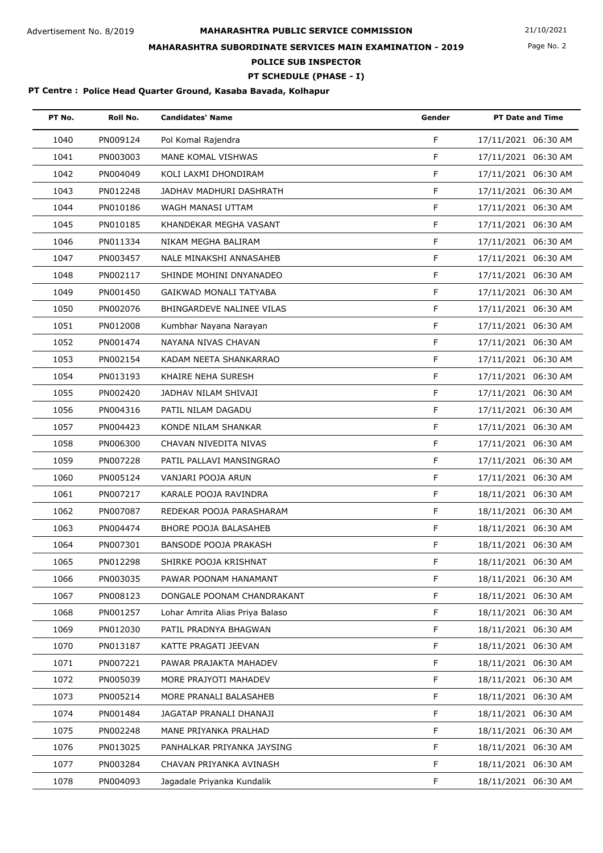Page No. 2

## **MAHARASHTRA SUBORDINATE SERVICES MAIN EXAMINATION - 2019**

**POLICE SUB INSPECTOR**

**PT SCHEDULE (PHASE - I)**

| PT No. | Roll No. | <b>Candidates' Name</b>         | Gender      | <b>PT Date and Time</b> |
|--------|----------|---------------------------------|-------------|-------------------------|
| 1040   | PN009124 | Pol Komal Rajendra              | F           | 17/11/2021 06:30 AM     |
| 1041   | PN003003 | MANE KOMAL VISHWAS              | F           | 17/11/2021 06:30 AM     |
| 1042   | PN004049 | KOLI LAXMI DHONDIRAM            | F           | 17/11/2021 06:30 AM     |
| 1043   | PN012248 | JADHAV MADHURI DASHRATH         | F           | 17/11/2021 06:30 AM     |
| 1044   | PN010186 | WAGH MANASI UTTAM               | F           | 17/11/2021 06:30 AM     |
| 1045   | PN010185 | KHANDEKAR MEGHA VASANT          | $\mathsf F$ | 17/11/2021 06:30 AM     |
| 1046   | PN011334 | NIKAM MEGHA BALIRAM             | F           | 17/11/2021 06:30 AM     |
| 1047   | PN003457 | NALE MINAKSHI ANNASAHEB         | F           | 17/11/2021 06:30 AM     |
| 1048   | PN002117 | SHINDE MOHINI DNYANADEO         | F           | 17/11/2021 06:30 AM     |
| 1049   | PN001450 | GAIKWAD MONALI TATYABA          | F           | 17/11/2021 06:30 AM     |
| 1050   | PN002076 | BHINGARDEVE NALINEE VILAS       | F           | 17/11/2021 06:30 AM     |
| 1051   | PN012008 | Kumbhar Nayana Narayan          | F           | 17/11/2021 06:30 AM     |
| 1052   | PN001474 | NAYANA NIVAS CHAVAN             | F           | 17/11/2021 06:30 AM     |
| 1053   | PN002154 | KADAM NEETA SHANKARRAO          | F           | 17/11/2021 06:30 AM     |
| 1054   | PN013193 | KHAIRE NEHA SURESH              | $\mathsf F$ | 17/11/2021 06:30 AM     |
| 1055   | PN002420 | JADHAV NILAM SHIVAJI            | F           | 17/11/2021 06:30 AM     |
| 1056   | PN004316 | PATIL NILAM DAGADU              | F           | 17/11/2021 06:30 AM     |
| 1057   | PN004423 | KONDE NILAM SHANKAR             | F           | 17/11/2021 06:30 AM     |
| 1058   | PN006300 | CHAVAN NIVEDITA NIVAS           | F           | 17/11/2021 06:30 AM     |
| 1059   | PN007228 | PATIL PALLAVI MANSINGRAO        | F           | 17/11/2021 06:30 AM     |
| 1060   | PN005124 | VANJARI POOJA ARUN              | F           | 17/11/2021 06:30 AM     |
| 1061   | PN007217 | KARALE POOJA RAVINDRA           | F           | 18/11/2021 06:30 AM     |
| 1062   | PN007087 | REDEKAR POOJA PARASHARAM        | F           | 18/11/2021 06:30 AM     |
| 1063   | PN004474 | BHORE POOJA BALASAHEB           | $\mathsf F$ | 18/11/2021 06:30 AM     |
| 1064   | PN007301 | BANSODE POOJA PRAKASH           | F           | 18/11/2021 06:30 AM     |
| 1065   | PN012298 | SHIRKE POOJA KRISHNAT           | F           | 18/11/2021 06:30 AM     |
| 1066   | PN003035 | PAWAR POONAM HANAMANT           | F           | 18/11/2021 06:30 AM     |
| 1067   | PN008123 | DONGALE POONAM CHANDRAKANT      | $\mathsf F$ | 18/11/2021 06:30 AM     |
| 1068   | PN001257 | Lohar Amrita Alias Priya Balaso | F           | 18/11/2021 06:30 AM     |
| 1069   | PN012030 | PATIL PRADNYA BHAGWAN           | F           | 18/11/2021 06:30 AM     |
| 1070   | PN013187 | KATTE PRAGATI JEEVAN            | F           | 18/11/2021 06:30 AM     |
| 1071   | PN007221 | PAWAR PRAJAKTA MAHADEV          | F           | 18/11/2021 06:30 AM     |
| 1072   | PN005039 | MORE PRAJYOTI MAHADEV           | $\mathsf F$ | 18/11/2021 06:30 AM     |
| 1073   | PN005214 | MORE PRANALI BALASAHEB          | F           | 18/11/2021 06:30 AM     |
| 1074   | PN001484 | JAGATAP PRANALI DHANAJI         | F           | 18/11/2021 06:30 AM     |
| 1075   | PN002248 | MANE PRIYANKA PRALHAD           | F           | 18/11/2021 06:30 AM     |
| 1076   | PN013025 | PANHALKAR PRIYANKA JAYSING      | F           | 18/11/2021 06:30 AM     |
| 1077   | PN003284 | CHAVAN PRIYANKA AVINASH         | F           | 18/11/2021 06:30 AM     |
| 1078   | PN004093 | Jagadale Priyanka Kundalik      | F           | 18/11/2021 06:30 AM     |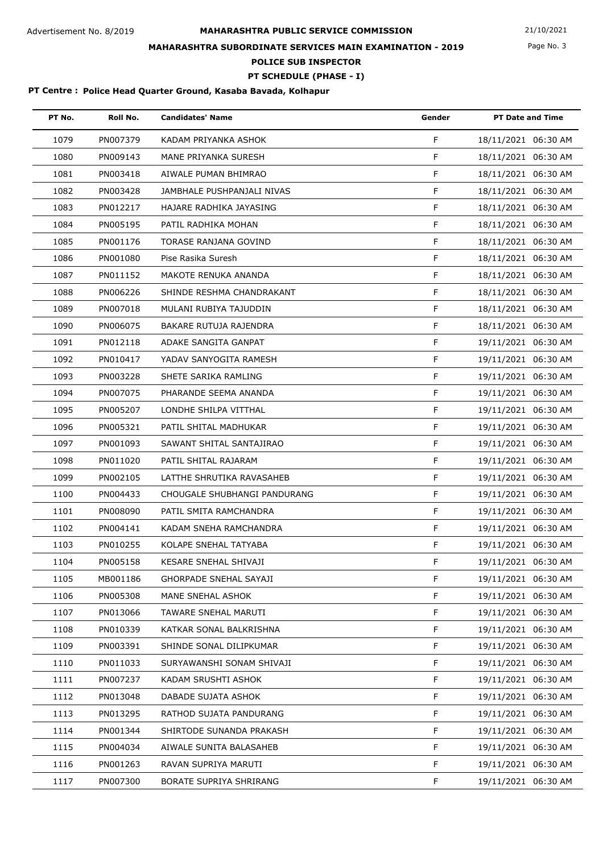Page No. 3

# **MAHARASHTRA SUBORDINATE SERVICES MAIN EXAMINATION - 2019**

**POLICE SUB INSPECTOR**

**PT SCHEDULE (PHASE - I)**

| PT No. | Roll No. | <b>Candidates' Name</b>      | Gender      | <b>PT Date and Time</b> |
|--------|----------|------------------------------|-------------|-------------------------|
| 1079   | PN007379 | KADAM PRIYANKA ASHOK         | F           | 18/11/2021 06:30 AM     |
| 1080   | PN009143 | MANE PRIYANKA SURESH         | F           | 18/11/2021 06:30 AM     |
| 1081   | PN003418 | AIWALE PUMAN BHIMRAO         | F           | 18/11/2021 06:30 AM     |
| 1082   | PN003428 | JAMBHALE PUSHPANJALI NIVAS   | F           | 18/11/2021 06:30 AM     |
| 1083   | PN012217 | HAJARE RADHIKA JAYASING      | F           | 18/11/2021 06:30 AM     |
| 1084   | PN005195 | PATIL RADHIKA MOHAN          | F           | 18/11/2021 06:30 AM     |
| 1085   | PN001176 | TORASE RANJANA GOVIND        | F           | 18/11/2021 06:30 AM     |
| 1086   | PN001080 | Pise Rasika Suresh           | F           | 18/11/2021 06:30 AM     |
| 1087   | PN011152 | MAKOTE RENUKA ANANDA         | F           | 18/11/2021 06:30 AM     |
| 1088   | PN006226 | SHINDE RESHMA CHANDRAKANT    | F           | 18/11/2021 06:30 AM     |
| 1089   | PN007018 | MULANI RUBIYA TAJUDDIN       | F           | 18/11/2021 06:30 AM     |
| 1090   | PN006075 | BAKARE RUTUJA RAJENDRA       | F           | 18/11/2021 06:30 AM     |
| 1091   | PN012118 | ADAKE SANGITA GANPAT         | F           | 19/11/2021 06:30 AM     |
| 1092   | PN010417 | YADAV SANYOGITA RAMESH       | F           | 19/11/2021 06:30 AM     |
| 1093   | PN003228 | SHETE SARIKA RAMLING         | F           | 19/11/2021 06:30 AM     |
| 1094   | PN007075 | PHARANDE SEEMA ANANDA        | F           | 19/11/2021 06:30 AM     |
| 1095   | PN005207 | LONDHE SHILPA VITTHAL        | F           | 19/11/2021 06:30 AM     |
| 1096   | PN005321 | PATIL SHITAL MADHUKAR        | F           | 19/11/2021 06:30 AM     |
| 1097   | PN001093 | SAWANT SHITAL SANTAJIRAO     | F           | 19/11/2021 06:30 AM     |
| 1098   | PN011020 | PATIL SHITAL RAJARAM         | F           | 19/11/2021 06:30 AM     |
| 1099   | PN002105 | LATTHE SHRUTIKA RAVASAHEB    | F           | 19/11/2021 06:30 AM     |
| 1100   | PN004433 | CHOUGALE SHUBHANGI PANDURANG | F           | 19/11/2021 06:30 AM     |
| 1101   | PN008090 | PATIL SMITA RAMCHANDRA       | F           | 19/11/2021 06:30 AM     |
| 1102   | PN004141 | KADAM SNEHA RAMCHANDRA       | F           | 19/11/2021 06:30 AM     |
| 1103   | PN010255 | KOLAPE SNEHAL TATYABA        | F           | 19/11/2021 06:30 AM     |
| 1104   | PN005158 | KESARE SNEHAL SHIVAJI        | F           | 19/11/2021 06:30 AM     |
| 1105   | MB001186 | GHORPADE SNEHAL SAYAJI       | F           | 19/11/2021 06:30 AM     |
| 1106   | PN005308 | MANE SNEHAL ASHOK            | $\mathsf F$ | 19/11/2021 06:30 AM     |
| 1107   | PN013066 | TAWARE SNEHAL MARUTI         | F           | 19/11/2021 06:30 AM     |
| 1108   | PN010339 | KATKAR SONAL BALKRISHNA      | F.          | 19/11/2021 06:30 AM     |
| 1109   | PN003391 | SHINDE SONAL DILIPKUMAR      | F           | 19/11/2021 06:30 AM     |
| 1110   | PN011033 | SURYAWANSHI SONAM SHIVAJI    | F           | 19/11/2021 06:30 AM     |
| 1111   | PN007237 | KADAM SRUSHTI ASHOK          | $\mathsf F$ | 19/11/2021 06:30 AM     |
| 1112   | PN013048 | DABADE SUJATA ASHOK          | F           | 19/11/2021 06:30 AM     |
| 1113   | PN013295 | RATHOD SUJATA PANDURANG      | F           | 19/11/2021 06:30 AM     |
| 1114   | PN001344 | SHIRTODE SUNANDA PRAKASH     | F           | 19/11/2021 06:30 AM     |
| 1115   | PN004034 | AIWALE SUNITA BALASAHEB      | F           | 19/11/2021 06:30 AM     |
| 1116   | PN001263 | RAVAN SUPRIYA MARUTI         | F           | 19/11/2021 06:30 AM     |
| 1117   | PN007300 | BORATE SUPRIYA SHRIRANG      | F           | 19/11/2021 06:30 AM     |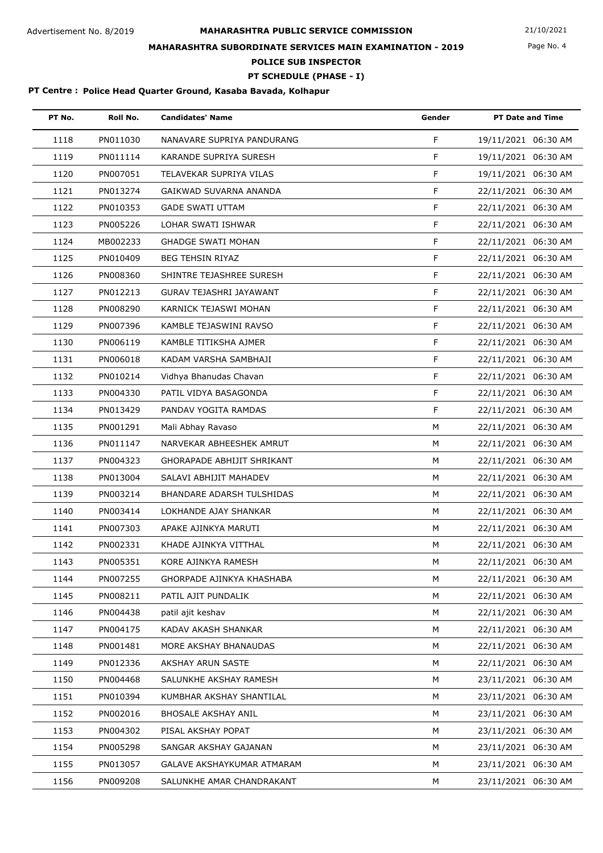Page No. 4

## **MAHARASHTRA SUBORDINATE SERVICES MAIN EXAMINATION - 2019**

**POLICE SUB INSPECTOR**

**PT SCHEDULE (PHASE - I)**

| PT No. | Roll No. | <b>Candidates' Name</b>           | Gender | <b>PT Date and Time</b> |
|--------|----------|-----------------------------------|--------|-------------------------|
| 1118   | PN011030 | NANAVARE SUPRIYA PANDURANG        | F      | 19/11/2021 06:30 AM     |
| 1119   | PN011114 | KARANDE SUPRIYA SURESH            | F      | 19/11/2021 06:30 AM     |
| 1120   | PN007051 | TELAVEKAR SUPRIYA VILAS           | F      | 19/11/2021 06:30 AM     |
| 1121   | PN013274 | GAIKWAD SUVARNA ANANDA            | F      | 22/11/2021 06:30 AM     |
| 1122   | PN010353 | <b>GADE SWATI UTTAM</b>           | F      | 22/11/2021 06:30 AM     |
| 1123   | PN005226 | LOHAR SWATI ISHWAR                | F      | 22/11/2021 06:30 AM     |
| 1124   | MB002233 | <b>GHADGE SWATI MOHAN</b>         | F      | 22/11/2021 06:30 AM     |
| 1125   | PN010409 | <b>BEG TEHSIN RIYAZ</b>           | F      | 22/11/2021 06:30 AM     |
| 1126   | PN008360 | SHINTRE TEJASHREE SURESH          | F      | 22/11/2021 06:30 AM     |
| 1127   | PN012213 | GURAV TEJASHRI JAYAWANT           | F      | 22/11/2021 06:30 AM     |
| 1128   | PN008290 | KARNICK TEJASWI MOHAN             | F      | 22/11/2021 06:30 AM     |
| 1129   | PN007396 | KAMBLE TEJASWINI RAVSO            | F      | 22/11/2021 06:30 AM     |
| 1130   | PN006119 | KAMBLE TITIKSHA AJMER             | F      | 22/11/2021 06:30 AM     |
| 1131   | PN006018 | KADAM VARSHA SAMBHAJI             | F      | 22/11/2021 06:30 AM     |
| 1132   | PN010214 | Vidhya Bhanudas Chavan            | F      | 22/11/2021 06:30 AM     |
| 1133   | PN004330 | PATIL VIDYA BASAGONDA             | F      | 22/11/2021 06:30 AM     |
| 1134   | PN013429 | PANDAV YOGITA RAMDAS              | F      | 22/11/2021 06:30 AM     |
| 1135   | PN001291 | Mali Abhay Ravaso                 | M      | 22/11/2021 06:30 AM     |
| 1136   | PN011147 | NARVEKAR ABHEESHEK AMRUT          | M      | 22/11/2021 06:30 AM     |
| 1137   | PN004323 | <b>GHORAPADE ABHIJIT SHRIKANT</b> | M      | 22/11/2021 06:30 AM     |
| 1138   | PN013004 | SALAVI ABHIJIT MAHADEV            | M      | 22/11/2021 06:30 AM     |
| 1139   | PN003214 | BHANDARE ADARSH TULSHIDAS         | м      | 22/11/2021 06:30 AM     |
| 1140   | PN003414 | LOKHANDE AJAY SHANKAR             | M      | 22/11/2021 06:30 AM     |
| 1141   | PN007303 | APAKE AJINKYA MARUTI              | M      | 22/11/2021 06:30 AM     |
| 1142   | PN002331 | KHADE AJINKYA VITTHAL             | M      | 22/11/2021 06:30 AM     |
| 1143   | PN005351 | KORE AJINKYA RAMESH               | М      | 22/11/2021 06:30 AM     |
| 1144   | PN007255 | GHORPADE AJINKYA KHASHABA         | M      | 22/11/2021 06:30 AM     |
| 1145   | PN008211 | PATIL AJIT PUNDALIK               | м      | 22/11/2021 06:30 AM     |
| 1146   | PN004438 | patil ajit keshav                 | M      | 22/11/2021 06:30 AM     |
| 1147   | PN004175 | KADAV AKASH SHANKAR               | м      | 22/11/2021 06:30 AM     |
| 1148   | PN001481 | MORE AKSHAY BHANAUDAS             | м      | 22/11/2021 06:30 AM     |
| 1149   | PN012336 | AKSHAY ARUN SASTE                 | M      | 22/11/2021 06:30 AM     |
| 1150   | PN004468 | SALUNKHE AKSHAY RAMESH            | м      | 23/11/2021 06:30 AM     |
| 1151   | PN010394 | KUMBHAR AKSHAY SHANTILAL          | M      | 23/11/2021 06:30 AM     |
| 1152   | PN002016 | <b>BHOSALE AKSHAY ANIL</b>        | м      | 23/11/2021 06:30 AM     |
| 1153   | PN004302 | PISAL AKSHAY POPAT                | м      | 23/11/2021 06:30 AM     |
| 1154   | PN005298 | SANGAR AKSHAY GAJANAN             | М      | 23/11/2021 06:30 AM     |
| 1155   | PN013057 | GALAVE AKSHAYKUMAR ATMARAM        | М      | 23/11/2021 06:30 AM     |
| 1156   | PN009208 | SALUNKHE AMAR CHANDRAKANT         | М      | 23/11/2021 06:30 AM     |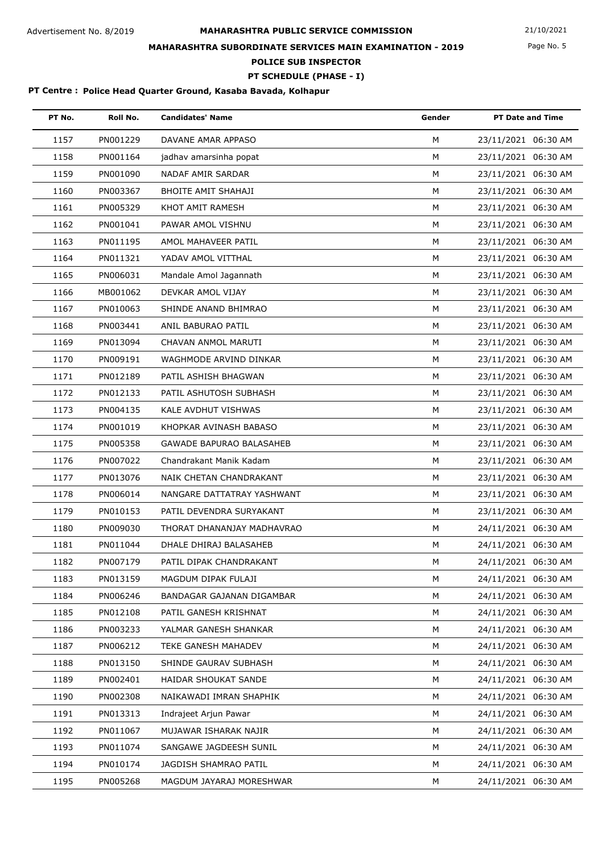Page No. 5

## **MAHARASHTRA SUBORDINATE SERVICES MAIN EXAMINATION - 2019**

**POLICE SUB INSPECTOR**

**PT SCHEDULE (PHASE - I)**

| PT No. | Roll No. | <b>Candidates' Name</b>         | Gender | <b>PT Date and Time</b> |
|--------|----------|---------------------------------|--------|-------------------------|
| 1157   | PN001229 | DAVANE AMAR APPASO              | M      | 23/11/2021 06:30 AM     |
| 1158   | PN001164 | jadhav amarsinha popat          | M      | 23/11/2021 06:30 AM     |
| 1159   | PN001090 | NADAF AMIR SARDAR               | M      | 23/11/2021 06:30 AM     |
| 1160   | PN003367 | BHOITE AMIT SHAHAJI             | М      | 23/11/2021 06:30 AM     |
| 1161   | PN005329 | KHOT AMIT RAMESH                | M      | 23/11/2021 06:30 AM     |
| 1162   | PN001041 | PAWAR AMOL VISHNU               | M      | 23/11/2021 06:30 AM     |
| 1163   | PN011195 | AMOL MAHAVEER PATIL             | M      | 23/11/2021 06:30 AM     |
| 1164   | PN011321 | YADAV AMOL VITTHAL              | M      | 23/11/2021 06:30 AM     |
| 1165   | PN006031 | Mandale Amol Jagannath          | М      | 23/11/2021 06:30 AM     |
| 1166   | MB001062 | DEVKAR AMOL VIJAY               | M      | 23/11/2021 06:30 AM     |
| 1167   | PN010063 | SHINDE ANAND BHIMRAO            | M      | 23/11/2021 06:30 AM     |
| 1168   | PN003441 | ANIL BABURAO PATIL              | М      | 23/11/2021 06:30 AM     |
| 1169   | PN013094 | CHAVAN ANMOL MARUTI             | М      | 23/11/2021 06:30 AM     |
| 1170   | PN009191 | WAGHMODE ARVIND DINKAR          | М      | 23/11/2021 06:30 AM     |
| 1171   | PN012189 | PATIL ASHISH BHAGWAN            | M      | 23/11/2021 06:30 AM     |
| 1172   | PN012133 | PATIL ASHUTOSH SUBHASH          | M      | 23/11/2021 06:30 AM     |
| 1173   | PN004135 | KALE AVDHUT VISHWAS             | М      | 23/11/2021 06:30 AM     |
| 1174   | PN001019 | KHOPKAR AVINASH BABASO          | M      | 23/11/2021 06:30 AM     |
| 1175   | PN005358 | <b>GAWADE BAPURAO BALASAHEB</b> | M      | 23/11/2021 06:30 AM     |
| 1176   | PN007022 | Chandrakant Manik Kadam         | M      | 23/11/2021 06:30 AM     |
| 1177   | PN013076 | NAIK CHETAN CHANDRAKANT         | М      | 23/11/2021 06:30 AM     |
| 1178   | PN006014 | NANGARE DATTATRAY YASHWANT      | М      | 23/11/2021 06:30 AM     |
| 1179   | PN010153 | PATIL DEVENDRA SURYAKANT        | М      | 23/11/2021 06:30 AM     |
| 1180   | PN009030 | THORAT DHANANJAY MADHAVRAO      | M      | 24/11/2021 06:30 AM     |
| 1181   | PN011044 | DHALE DHIRAJ BALASAHEB          | М      | 24/11/2021 06:30 AM     |
| 1182   | PN007179 | PATIL DIPAK CHANDRAKANT         | м      | 24/11/2021 06:30 AM     |
| 1183   | PN013159 | MAGDUM DIPAK FULAJI             | M      | 24/11/2021 06:30 AM     |
| 1184   | PN006246 | BANDAGAR GAJANAN DIGAMBAR       | М      | 24/11/2021 06:30 AM     |
| 1185   | PN012108 | PATIL GANESH KRISHNAT           | М      | 24/11/2021 06:30 AM     |
| 1186   | PN003233 | YALMAR GANESH SHANKAR           | М      | 24/11/2021 06:30 AM     |
| 1187   | PN006212 | TEKE GANESH MAHADEV             | м      | 24/11/2021 06:30 AM     |
| 1188   | PN013150 | SHINDE GAURAV SUBHASH           | М      | 24/11/2021 06:30 AM     |
| 1189   | PN002401 | HAIDAR SHOUKAT SANDE            | M      | 24/11/2021 06:30 AM     |
| 1190   | PN002308 | NAIKAWADI IMRAN SHAPHIK         | М      | 24/11/2021 06:30 AM     |
| 1191   | PN013313 | Indrajeet Arjun Pawar           | М      | 24/11/2021 06:30 AM     |
| 1192   | PN011067 | MUJAWAR ISHARAK NAJIR           | м      | 24/11/2021 06:30 AM     |
| 1193   | PN011074 | SANGAWE JAGDEESH SUNIL          | М      | 24/11/2021 06:30 AM     |
| 1194   | PN010174 | JAGDISH SHAMRAO PATIL           | м      | 24/11/2021 06:30 AM     |
| 1195   | PN005268 | MAGDUM JAYARAJ MORESHWAR        | М      | 24/11/2021 06:30 AM     |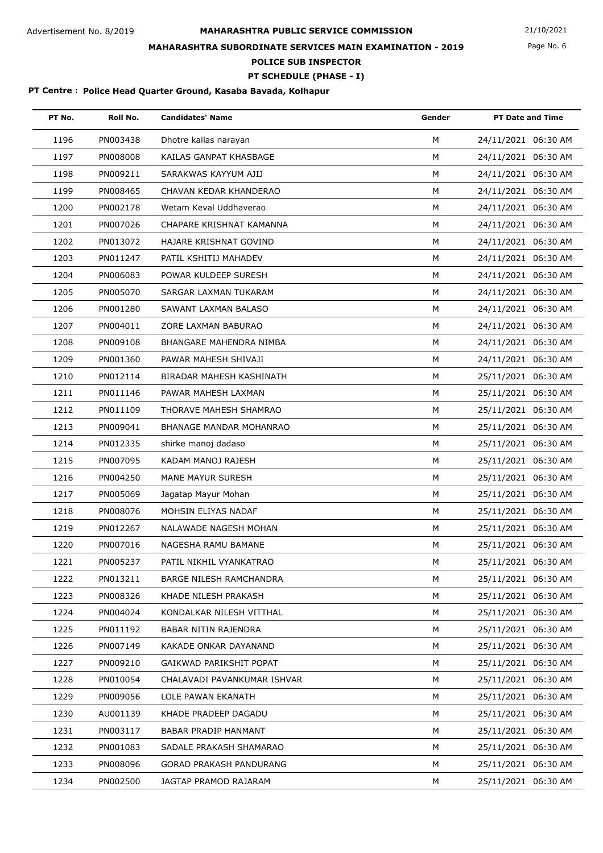Page No. 6

## **MAHARASHTRA SUBORDINATE SERVICES MAIN EXAMINATION - 2019**

**POLICE SUB INSPECTOR**

**PT SCHEDULE (PHASE - I)**

| PT No. | Roll No. | <b>Candidates' Name</b>        | Gender | <b>PT Date and Time</b> |
|--------|----------|--------------------------------|--------|-------------------------|
| 1196   | PN003438 | Dhotre kailas narayan          | M      | 24/11/2021 06:30 AM     |
| 1197   | PN008008 | KAILAS GANPAT KHASBAGE         | M      | 24/11/2021 06:30 AM     |
| 1198   | PN009211 | SARAKWAS KAYYUM AJIJ           | M      | 24/11/2021 06:30 AM     |
| 1199   | PN008465 | CHAVAN KEDAR KHANDERAO         | M      | 24/11/2021 06:30 AM     |
| 1200   | PN002178 | Wetam Keval Uddhaverao         | M      | 24/11/2021 06:30 AM     |
| 1201   | PN007026 | CHAPARE KRISHNAT KAMANNA       | M      | 24/11/2021 06:30 AM     |
| 1202   | PN013072 | HAJARE KRISHNAT GOVIND         | М      | 24/11/2021 06:30 AM     |
| 1203   | PN011247 | PATIL KSHITIJ MAHADEV          | M      | 24/11/2021 06:30 AM     |
| 1204   | PN006083 | POWAR KULDEEP SURESH           | M      | 24/11/2021 06:30 AM     |
| 1205   | PN005070 | SARGAR LAXMAN TUKARAM          | M      | 24/11/2021 06:30 AM     |
| 1206   | PN001280 | SAWANT LAXMAN BALASO           | M      | 24/11/2021 06:30 AM     |
| 1207   | PN004011 | ZORE LAXMAN BABURAO            | M      | 24/11/2021 06:30 AM     |
| 1208   | PN009108 | BHANGARE MAHENDRA NIMBA        | М      | 24/11/2021 06:30 AM     |
| 1209   | PN001360 | PAWAR MAHESH SHIVAJI           | M      | 24/11/2021 06:30 AM     |
| 1210   | PN012114 | BIRADAR MAHESH KASHINATH       | M      | 25/11/2021 06:30 AM     |
| 1211   | PN011146 | PAWAR MAHESH LAXMAN            | M      | 25/11/2021 06:30 AM     |
| 1212   | PN011109 | THORAVE MAHESH SHAMRAO         | M      | 25/11/2021 06:30 AM     |
| 1213   | PN009041 | <b>BHANAGE MANDAR MOHANRAO</b> | M      | 25/11/2021 06:30 AM     |
| 1214   | PN012335 | shirke manoj dadaso            | M      | 25/11/2021 06:30 AM     |
| 1215   | PN007095 | KADAM MANOJ RAJESH             | M      | 25/11/2021 06:30 AM     |
| 1216   | PN004250 | MANE MAYUR SURESH              | M      | 25/11/2021 06:30 AM     |
| 1217   | PN005069 | Jagatap Mayur Mohan            | M      | 25/11/2021 06:30 AM     |
| 1218   | PN008076 | MOHSIN ELIYAS NADAF            | M      | 25/11/2021 06:30 AM     |
| 1219   | PN012267 | NALAWADE NAGESH MOHAN          | M      | 25/11/2021 06:30 AM     |
| 1220   | PN007016 | NAGESHA RAMU BAMANE            | M      | 25/11/2021 06:30 AM     |
| 1221   | PN005237 | PATIL NIKHIL VYANKATRAO        | м      | 25/11/2021 06:30 AM     |
| 1222   | PN013211 | BARGE NILESH RAMCHANDRA        | м      | 25/11/2021 06:30 AM     |
| 1223   | PN008326 | KHADE NILESH PRAKASH           | м      | 25/11/2021 06:30 AM     |
| 1224   | PN004024 | KONDALKAR NILESH VITTHAL       | м      | 25/11/2021 06:30 AM     |
| 1225   | PN011192 | BABAR NITIN RAJENDRA           | м      | 25/11/2021 06:30 AM     |
| 1226   | PN007149 | KAKADE ONKAR DAYANAND          | м      | 25/11/2021 06:30 AM     |
| 1227   | PN009210 | GAIKWAD PARIKSHIT POPAT        | м      | 25/11/2021 06:30 AM     |
| 1228   | PN010054 | CHALAVADI PAVANKUMAR ISHVAR    | М      | 25/11/2021 06:30 AM     |
| 1229   | PN009056 | LOLE PAWAN EKANATH             | М      | 25/11/2021 06:30 AM     |
| 1230   | AU001139 | KHADE PRADEEP DAGADU           | м      | 25/11/2021 06:30 AM     |
| 1231   | PN003117 | BABAR PRADIP HANMANT           | М      | 25/11/2021 06:30 AM     |
| 1232   | PN001083 | SADALE PRAKASH SHAMARAO        | М      | 25/11/2021 06:30 AM     |
| 1233   | PN008096 | GORAD PRAKASH PANDURANG        | М      | 25/11/2021 06:30 AM     |
| 1234   | PN002500 | JAGTAP PRAMOD RAJARAM          | М      | 25/11/2021 06:30 AM     |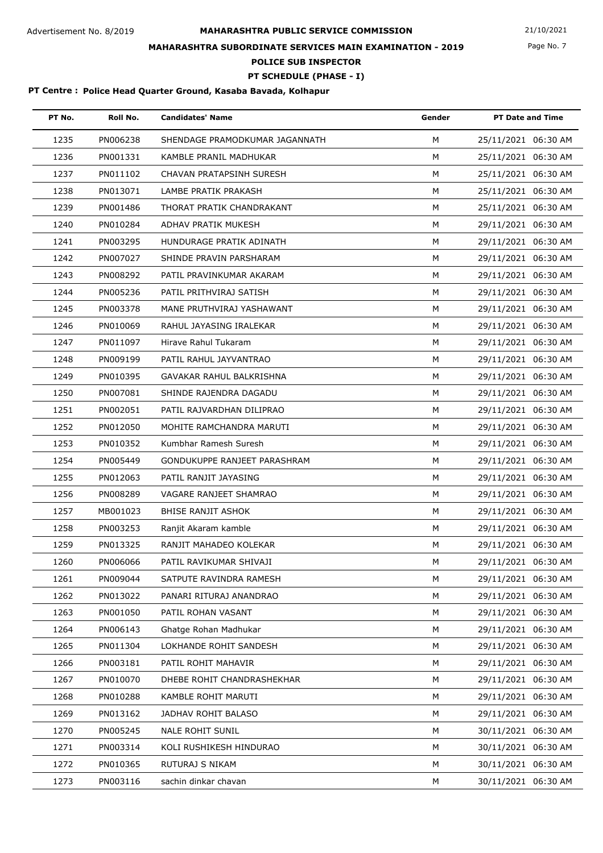Page No. 7

## **MAHARASHTRA SUBORDINATE SERVICES MAIN EXAMINATION - 2019**

**POLICE SUB INSPECTOR**

## **PT SCHEDULE (PHASE - I)**

| PT No. | Roll No. | <b>Candidates' Name</b>        | Gender | <b>PT Date and Time</b> |
|--------|----------|--------------------------------|--------|-------------------------|
| 1235   | PN006238 | SHENDAGE PRAMODKUMAR JAGANNATH | M      | 25/11/2021 06:30 AM     |
| 1236   | PN001331 | KAMBLE PRANIL MADHUKAR         | M      | 25/11/2021 06:30 AM     |
| 1237   | PN011102 | CHAVAN PRATAPSINH SURESH       | M      | 25/11/2021 06:30 AM     |
| 1238   | PN013071 | LAMBE PRATIK PRAKASH           | М      | 25/11/2021 06:30 AM     |
| 1239   | PN001486 | THORAT PRATIK CHANDRAKANT      | M      | 25/11/2021 06:30 AM     |
| 1240   | PN010284 | ADHAV PRATIK MUKESH            | M      | 29/11/2021 06:30 AM     |
| 1241   | PN003295 | HUNDURAGE PRATIK ADINATH       | M      | 29/11/2021 06:30 AM     |
| 1242   | PN007027 | SHINDE PRAVIN PARSHARAM        | M      | 29/11/2021 06:30 AM     |
| 1243   | PN008292 | PATIL PRAVINKUMAR AKARAM       | м      | 29/11/2021 06:30 AM     |
| 1244   | PN005236 | PATIL PRITHVIRAJ SATISH        | M      | 29/11/2021 06:30 AM     |
| 1245   | PN003378 | MANE PRUTHVIRAJ YASHAWANT      | M      | 29/11/2021 06:30 AM     |
| 1246   | PN010069 | RAHUL JAYASING IRALEKAR        | M      | 29/11/2021 06:30 AM     |
| 1247   | PN011097 | Hirave Rahul Tukaram           | M      | 29/11/2021 06:30 AM     |
| 1248   | PN009199 | PATIL RAHUL JAYVANTRAO         | м      | 29/11/2021 06:30 AM     |
| 1249   | PN010395 | GAVAKAR RAHUL BALKRISHNA       | M      | 29/11/2021 06:30 AM     |
| 1250   | PN007081 | SHINDE RAJENDRA DAGADU         | M      | 29/11/2021 06:30 AM     |
| 1251   | PN002051 | PATIL RAJVARDHAN DILIPRAO      | M      | 29/11/2021 06:30 AM     |
| 1252   | PN012050 | MOHITE RAMCHANDRA MARUTI       | М      | 29/11/2021 06:30 AM     |
| 1253   | PN010352 | Kumbhar Ramesh Suresh          | M      | 29/11/2021 06:30 AM     |
| 1254   | PN005449 | GONDUKUPPE RANJEET PARASHRAM   | M      | 29/11/2021 06:30 AM     |
| 1255   | PN012063 | PATIL RANJIT JAYASING          | M      | 29/11/2021 06:30 AM     |
| 1256   | PN008289 | VAGARE RANJEET SHAMRAO         | М      | 29/11/2021 06:30 AM     |
| 1257   | MB001023 | <b>BHISE RANJIT ASHOK</b>      | M      | 29/11/2021 06:30 AM     |
| 1258   | PN003253 | Ranjit Akaram kamble           | M      | 29/11/2021 06:30 AM     |
| 1259   | PN013325 | RANJIT MAHADEO KOLEKAR         | M      | 29/11/2021 06:30 AM     |
| 1260   | PN006066 | PATIL RAVIKUMAR SHIVAJI        | м      | 29/11/2021 06:30 AM     |
| 1261   | PN009044 | SATPUTE RAVINDRA RAMESH        | м      | 29/11/2021 06:30 AM     |
| 1262   | PN013022 | PANARI RITURAJ ANANDRAO        | M      | 29/11/2021 06:30 AM     |
| 1263   | PN001050 | PATIL ROHAN VASANT             | M      | 29/11/2021 06:30 AM     |
| 1264   | PN006143 | Ghatge Rohan Madhukar          | M      | 29/11/2021 06:30 AM     |
| 1265   | PN011304 | LOKHANDE ROHIT SANDESH         | М      | 29/11/2021 06:30 AM     |
| 1266   | PN003181 | PATIL ROHIT MAHAVIR            | M      | 29/11/2021 06:30 AM     |
| 1267   | PN010070 | DHEBE ROHIT CHANDRASHEKHAR     | M      | 29/11/2021 06:30 AM     |
| 1268   | PN010288 | KAMBLE ROHIT MARUTI            | M      | 29/11/2021 06:30 AM     |
| 1269   | PN013162 | JADHAV ROHIT BALASO            | M      | 29/11/2021 06:30 AM     |
| 1270   | PN005245 | NALE ROHIT SUNIL               | м      | 30/11/2021 06:30 AM     |
| 1271   | PN003314 | KOLI RUSHIKESH HINDURAO        | M      | 30/11/2021 06:30 AM     |
| 1272   | PN010365 | RUTURAJ S NIKAM                | М      | 30/11/2021 06:30 AM     |
| 1273   | PN003116 | sachin dinkar chavan           | М      | 30/11/2021 06:30 AM     |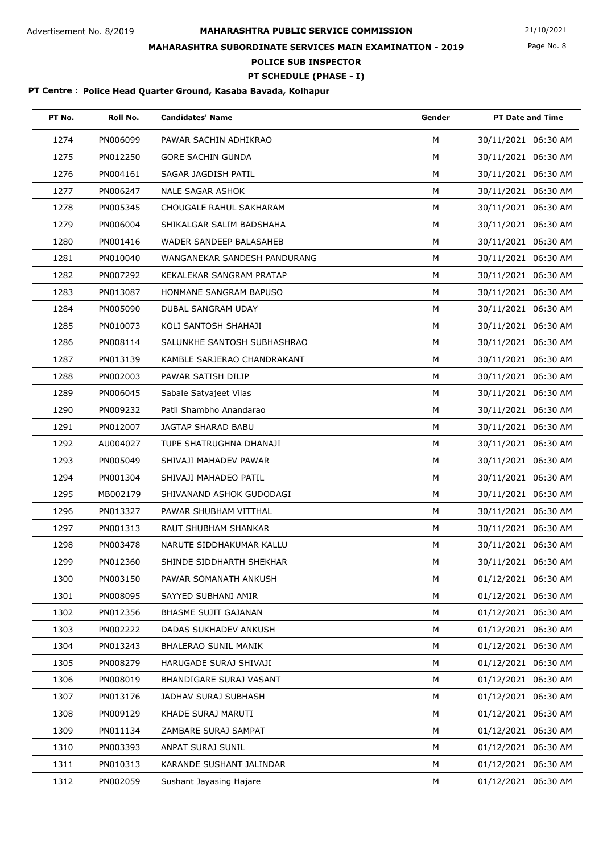Page No. 8

## **MAHARASHTRA SUBORDINATE SERVICES MAIN EXAMINATION - 2019**

**POLICE SUB INSPECTOR**

**PT SCHEDULE (PHASE - I)**

| PT No. | Roll No. | <b>Candidates' Name</b>      | Gender | <b>PT Date and Time</b> |
|--------|----------|------------------------------|--------|-------------------------|
| 1274   | PN006099 | PAWAR SACHIN ADHIKRAO        | M      | 30/11/2021 06:30 AM     |
| 1275   | PN012250 | <b>GORE SACHIN GUNDA</b>     | M      | 30/11/2021 06:30 AM     |
| 1276   | PN004161 | SAGAR JAGDISH PATIL          | M      | 30/11/2021 06:30 AM     |
| 1277   | PN006247 | <b>NALE SAGAR ASHOK</b>      | M      | 30/11/2021 06:30 AM     |
| 1278   | PN005345 | CHOUGALE RAHUL SAKHARAM      | M      | 30/11/2021 06:30 AM     |
| 1279   | PN006004 | SHIKALGAR SALIM BADSHAHA     | M      | 30/11/2021 06:30 AM     |
| 1280   | PN001416 | WADER SANDEEP BALASAHEB      | M      | 30/11/2021 06:30 AM     |
| 1281   | PN010040 | WANGANEKAR SANDESH PANDURANG | М      | 30/11/2021 06:30 AM     |
| 1282   | PN007292 | KEKALEKAR SANGRAM PRATAP     | M      | 30/11/2021 06:30 AM     |
| 1283   | PN013087 | HONMANE SANGRAM BAPUSO       | M      | 30/11/2021 06:30 AM     |
| 1284   | PN005090 | DUBAL SANGRAM UDAY           | M      | 30/11/2021 06:30 AM     |
| 1285   | PN010073 | KOLI SANTOSH SHAHAJI         | M      | 30/11/2021 06:30 AM     |
| 1286   | PN008114 | SALUNKHE SANTOSH SUBHASHRAO  | M      | 30/11/2021 06:30 AM     |
| 1287   | PN013139 | KAMBLE SARJERAO CHANDRAKANT  | M      | 30/11/2021 06:30 AM     |
| 1288   | PN002003 | PAWAR SATISH DILIP           | M      | 30/11/2021 06:30 AM     |
| 1289   | PN006045 | Sabale Satyajeet Vilas       | M      | 30/11/2021 06:30 AM     |
| 1290   | PN009232 | Patil Shambho Anandarao      | M      | 30/11/2021 06:30 AM     |
| 1291   | PN012007 | JAGTAP SHARAD BABU           | M      | 30/11/2021 06:30 AM     |
| 1292   | AU004027 | TUPE SHATRUGHNA DHANAJI      | M      | 30/11/2021 06:30 AM     |
| 1293   | PN005049 | SHIVAJI MAHADEV PAWAR        | M      | 30/11/2021 06:30 AM     |
| 1294   | PN001304 | SHIVAJI MAHADEO PATIL        | М      | 30/11/2021 06:30 AM     |
| 1295   | MB002179 | SHIVANAND ASHOK GUDODAGI     | М      | 30/11/2021 06:30 AM     |
| 1296   | PN013327 | PAWAR SHUBHAM VITTHAL        | M      | 30/11/2021 06:30 AM     |
| 1297   | PN001313 | RAUT SHUBHAM SHANKAR         | M      | 30/11/2021 06:30 AM     |
| 1298   | PN003478 | NARUTE SIDDHAKUMAR KALLU     | M      | 30/11/2021 06:30 AM     |
| 1299   | PN012360 | SHINDE SIDDHARTH SHEKHAR     | м      | 30/11/2021 06:30 AM     |
| 1300   | PN003150 | PAWAR SOMANATH ANKUSH        | M      | 01/12/2021 06:30 AM     |
| 1301   | PN008095 | SAYYED SUBHANI AMIR          | M      | 01/12/2021 06:30 AM     |
| 1302   | PN012356 | BHASME SUJIT GAJANAN         | M      | 01/12/2021 06:30 AM     |
| 1303   | PN002222 | DADAS SUKHADEV ANKUSH        | M      | 01/12/2021 06:30 AM     |
| 1304   | PN013243 | <b>BHALERAO SUNIL MANIK</b>  | м      | 01/12/2021 06:30 AM     |
| 1305   | PN008279 | HARUGADE SURAJ SHIVAJI       | M      | 01/12/2021 06:30 AM     |
| 1306   | PN008019 | BHANDIGARE SURAJ VASANT      | М      | 01/12/2021 06:30 AM     |
| 1307   | PN013176 | JADHAV SURAJ SUBHASH         | M      | 01/12/2021 06:30 AM     |
| 1308   | PN009129 | KHADE SURAJ MARUTI           | М      | 01/12/2021 06:30 AM     |
| 1309   | PN011134 | ZAMBARE SURAJ SAMPAT         | M      | 01/12/2021 06:30 AM     |
| 1310   | PN003393 | ANPAT SURAJ SUNIL            | M      | 01/12/2021 06:30 AM     |
| 1311   | PN010313 | KARANDE SUSHANT JALINDAR     | М      | 01/12/2021 06:30 AM     |
| 1312   | PN002059 | Sushant Jayasing Hajare      | М      | 01/12/2021 06:30 AM     |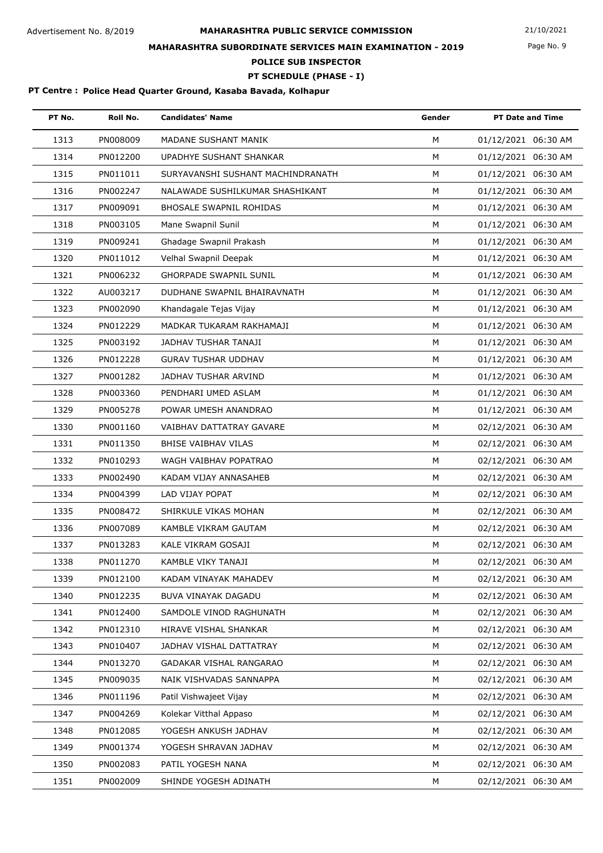Page No. 9

## **MAHARASHTRA SUBORDINATE SERVICES MAIN EXAMINATION - 2019**

**POLICE SUB INSPECTOR**

### **PT SCHEDULE (PHASE - I)**

| PT No. | Roll No. | <b>Candidates' Name</b>           | Gender | <b>PT Date and Time</b> |
|--------|----------|-----------------------------------|--------|-------------------------|
| 1313   | PN008009 | MADANE SUSHANT MANIK              | M      | 01/12/2021 06:30 AM     |
| 1314   | PN012200 | UPADHYE SUSHANT SHANKAR           | M      | 01/12/2021 06:30 AM     |
| 1315   | PN011011 | SURYAVANSHI SUSHANT MACHINDRANATH | M      | 01/12/2021 06:30 AM     |
| 1316   | PN002247 | NALAWADE SUSHILKUMAR SHASHIKANT   | M      | 01/12/2021 06:30 AM     |
| 1317   | PN009091 | <b>BHOSALE SWAPNIL ROHIDAS</b>    | M      | 01/12/2021 06:30 AM     |
| 1318   | PN003105 | Mane Swapnil Sunil                | M      | 01/12/2021 06:30 AM     |
| 1319   | PN009241 | Ghadage Swapnil Prakash           | M      | 01/12/2021 06:30 AM     |
| 1320   | PN011012 | Velhal Swapnil Deepak             | M      | 01/12/2021 06:30 AM     |
| 1321   | PN006232 | <b>GHORPADE SWAPNIL SUNIL</b>     | M      | 01/12/2021 06:30 AM     |
| 1322   | AU003217 | DUDHANE SWAPNIL BHAIRAVNATH       | М      | 01/12/2021 06:30 AM     |
| 1323   | PN002090 | Khandagale Tejas Vijay            | M      | 01/12/2021 06:30 AM     |
| 1324   | PN012229 | MADKAR TUKARAM RAKHAMAJI          | M      | 01/12/2021 06:30 AM     |
| 1325   | PN003192 | JADHAV TUSHAR TANAJI              | M      | 01/12/2021 06:30 AM     |
| 1326   | PN012228 | <b>GURAV TUSHAR UDDHAV</b>        | M      | 01/12/2021 06:30 AM     |
| 1327   | PN001282 | JADHAV TUSHAR ARVIND              | M      | 01/12/2021 06:30 AM     |
| 1328   | PN003360 | PENDHARI UMED ASLAM               | M      | 01/12/2021 06:30 AM     |
| 1329   | PN005278 | POWAR UMESH ANANDRAO              | M      | 01/12/2021 06:30 AM     |
| 1330   | PN001160 | VAIBHAV DATTATRAY GAVARE          | M      | 02/12/2021 06:30 AM     |
| 1331   | PN011350 | BHISE VAIBHAV VILAS               | М      | 02/12/2021 06:30 AM     |
| 1332   | PN010293 | WAGH VAIBHAV POPATRAO             | M      | 02/12/2021 06:30 AM     |
| 1333   | PN002490 | KADAM VIJAY ANNASAHEB             | M      | 02/12/2021 06:30 AM     |
| 1334   | PN004399 | LAD VIJAY POPAT                   | M      | 02/12/2021 06:30 AM     |
| 1335   | PN008472 | SHIRKULE VIKAS MOHAN              | M      | 02/12/2021 06:30 AM     |
| 1336   | PN007089 | KAMBLE VIKRAM GAUTAM              | M      | 02/12/2021 06:30 AM     |
| 1337   | PN013283 | KALE VIKRAM GOSAJI                | M      | 02/12/2021 06:30 AM     |
| 1338   | PN011270 | KAMBLE VIKY TANAJI                | м      | 02/12/2021 06:30 AM     |
| 1339   | PN012100 | KADAM VINAYAK MAHADEV             | м      | 02/12/2021 06:30 AM     |
| 1340   | PN012235 | BUVA VINAYAK DAGADU               | М      | 02/12/2021 06:30 AM     |
| 1341   | PN012400 | SAMDOLE VINOD RAGHUNATH           | М      | 02/12/2021 06:30 AM     |
| 1342   | PN012310 | HIRAVE VISHAL SHANKAR             | М      | 02/12/2021 06:30 AM     |
| 1343   | PN010407 | <b>JADHAV VISHAL DATTATRAY</b>    | M      | 02/12/2021 06:30 AM     |
| 1344   | PN013270 | GADAKAR VISHAL RANGARAO           | м      | 02/12/2021 06:30 AM     |
| 1345   | PN009035 | NAIK VISHVADAS SANNAPPA           | M      | 02/12/2021 06:30 AM     |
| 1346   | PN011196 | Patil Vishwajeet Vijay            | M      | 02/12/2021 06:30 AM     |
| 1347   | PN004269 | Kolekar Vitthal Appaso            | M      | 02/12/2021 06:30 AM     |
| 1348   | PN012085 | YOGESH ANKUSH JADHAV              | м      | 02/12/2021 06:30 AM     |
| 1349   | PN001374 | YOGESH SHRAVAN JADHAV             | М      | 02/12/2021 06:30 AM     |
| 1350   | PN002083 | PATIL YOGESH NANA                 | М      | 02/12/2021 06:30 AM     |
| 1351   | PN002009 | SHINDE YOGESH ADINATH             | М      | 02/12/2021 06:30 AM     |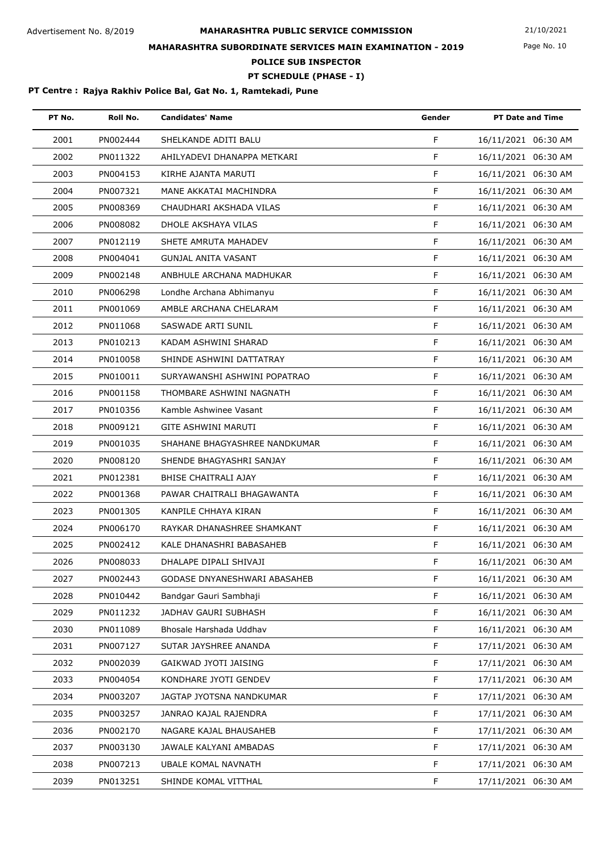Page No. 10

## **MAHARASHTRA SUBORDINATE SERVICES MAIN EXAMINATION - 2019**

**POLICE SUB INSPECTOR**

### **PT SCHEDULE (PHASE - I)**

| PT No. | Roll No. | <b>Candidates' Name</b>       | Gender | <b>PT Date and Time</b> |
|--------|----------|-------------------------------|--------|-------------------------|
| 2001   | PN002444 | SHELKANDE ADITI BALU          | F      | 16/11/2021 06:30 AM     |
| 2002   | PN011322 | AHILYADEVI DHANAPPA METKARI   | F      | 16/11/2021 06:30 AM     |
| 2003   | PN004153 | KIRHE AJANTA MARUTI           | F      | 16/11/2021 06:30 AM     |
| 2004   | PN007321 | MANE AKKATAI MACHINDRA        | F      | 16/11/2021 06:30 AM     |
| 2005   | PN008369 | CHAUDHARI AKSHADA VILAS       | F      | 16/11/2021 06:30 AM     |
| 2006   | PN008082 | DHOLE AKSHAYA VILAS           | F.     | 16/11/2021 06:30 AM     |
| 2007   | PN012119 | SHETE AMRUTA MAHADEV          | F      | 16/11/2021 06:30 AM     |
| 2008   | PN004041 | <b>GUNJAL ANITA VASANT</b>    | F      | 16/11/2021 06:30 AM     |
| 2009   | PN002148 | ANBHULE ARCHANA MADHUKAR      | F      | 16/11/2021 06:30 AM     |
| 2010   | PN006298 | Londhe Archana Abhimanyu      | F      | 16/11/2021 06:30 AM     |
| 2011   | PN001069 | AMBLE ARCHANA CHELARAM        | F      | 16/11/2021 06:30 AM     |
| 2012   | PN011068 | SASWADE ARTI SUNIL            | F      | 16/11/2021 06:30 AM     |
| 2013   | PN010213 | KADAM ASHWINI SHARAD          | F      | 16/11/2021 06:30 AM     |
| 2014   | PN010058 | SHINDE ASHWINI DATTATRAY      | F      | 16/11/2021 06:30 AM     |
| 2015   | PN010011 | SURYAWANSHI ASHWINI POPATRAO  | F      | 16/11/2021 06:30 AM     |
| 2016   | PN001158 | THOMBARE ASHWINI NAGNATH      | F      | 16/11/2021 06:30 AM     |
| 2017   | PN010356 | Kamble Ashwinee Vasant        | F      | 16/11/2021 06:30 AM     |
| 2018   | PN009121 | <b>GITE ASHWINI MARUTI</b>    | F      | 16/11/2021 06:30 AM     |
| 2019   | PN001035 | SHAHANE BHAGYASHREE NANDKUMAR | F      | 16/11/2021 06:30 AM     |
| 2020   | PN008120 | SHENDE BHAGYASHRI SANJAY      | F      | 16/11/2021 06:30 AM     |
| 2021   | PN012381 | <b>BHISE CHAITRALI AJAY</b>   | F      | 16/11/2021 06:30 AM     |
| 2022   | PN001368 | PAWAR CHAITRALI BHAGAWANTA    | F      | 16/11/2021 06:30 AM     |
| 2023   | PN001305 | KANPILE CHHAYA KIRAN          | F      | 16/11/2021 06:30 AM     |
| 2024   | PN006170 | RAYKAR DHANASHREE SHAMKANT    | F.     | 16/11/2021 06:30 AM     |
| 2025   | PN002412 | KALE DHANASHRI BABASAHEB      | F      | 16/11/2021 06:30 AM     |
| 2026   | PN008033 | DHALAPE DIPALI SHIVAJI        | F.     | 16/11/2021 06:30 AM     |
| 2027   | PN002443 | GODASE DNYANESHWARI ABASAHEB  | F.     | 16/11/2021 06:30 AM     |
| 2028   | PN010442 | Bandgar Gauri Sambhaji        | F      | 16/11/2021 06:30 AM     |
| 2029   | PN011232 | JADHAV GAURI SUBHASH          | F      | 16/11/2021 06:30 AM     |
| 2030   | PN011089 | Bhosale Harshada Uddhav       | F      | 16/11/2021 06:30 AM     |
| 2031   | PN007127 | SUTAR JAYSHREE ANANDA         | F.     | 17/11/2021 06:30 AM     |
| 2032   | PN002039 | GAIKWAD JYOTI JAISING         | F.     | 17/11/2021 06:30 AM     |
| 2033   | PN004054 | KONDHARE JYOTI GENDEV         | F      | 17/11/2021 06:30 AM     |
| 2034   | PN003207 | JAGTAP JYOTSNA NANDKUMAR      | F      | 17/11/2021 06:30 AM     |
| 2035   | PN003257 | JANRAO KAJAL RAJENDRA         | F.     | 17/11/2021 06:30 AM     |
| 2036   | PN002170 | NAGARE KAJAL BHAUSAHEB        | F.     | 17/11/2021 06:30 AM     |
| 2037   | PN003130 | JAWALE KALYANI AMBADAS        | F      | 17/11/2021 06:30 AM     |
| 2038   | PN007213 | <b>UBALE KOMAL NAVNATH</b>    | F      | 17/11/2021 06:30 AM     |
| 2039   | PN013251 | SHINDE KOMAL VITTHAL          | F.     | 17/11/2021 06:30 AM     |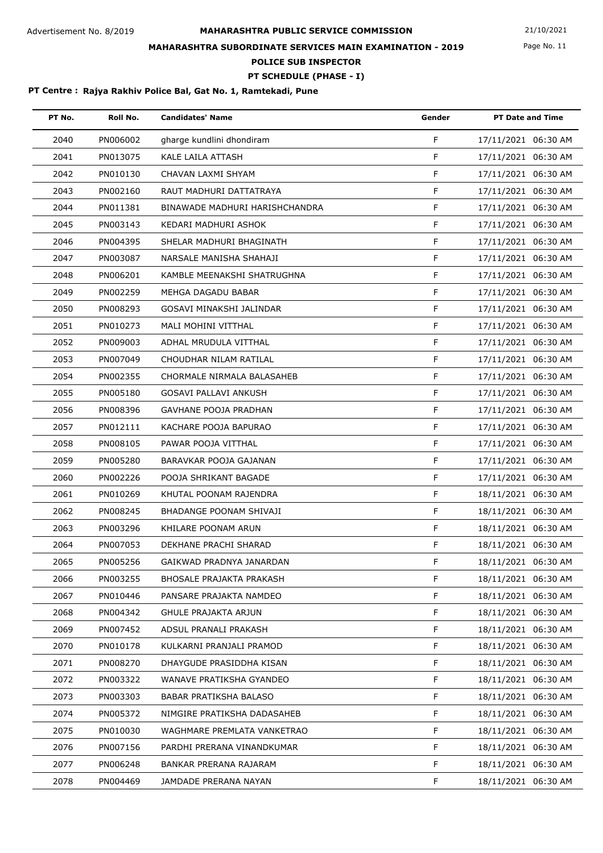Page No. 11

## **MAHARASHTRA SUBORDINATE SERVICES MAIN EXAMINATION - 2019**

**POLICE SUB INSPECTOR**

### **PT SCHEDULE (PHASE - I)**

| PT No. | Roll No. | <b>Candidates' Name</b>         | Gender      | <b>PT Date and Time</b> |
|--------|----------|---------------------------------|-------------|-------------------------|
| 2040   | PN006002 | gharge kundlini dhondiram       | F           | 17/11/2021 06:30 AM     |
| 2041   | PN013075 | KALE LAILA ATTASH               | F           | 17/11/2021 06:30 AM     |
| 2042   | PN010130 | CHAVAN LAXMI SHYAM              | F           | 17/11/2021 06:30 AM     |
| 2043   | PN002160 | RAUT MADHURI DATTATRAYA         | F           | 17/11/2021 06:30 AM     |
| 2044   | PN011381 | BINAWADE MADHURI HARISHCHANDRA  | F           | 17/11/2021 06:30 AM     |
| 2045   | PN003143 | KEDARI MADHURI ASHOK            | F           | 17/11/2021 06:30 AM     |
| 2046   | PN004395 | SHELAR MADHURI BHAGINATH        | F           | 17/11/2021 06:30 AM     |
| 2047   | PN003087 | NARSALE MANISHA SHAHAJI         | F           | 17/11/2021 06:30 AM     |
| 2048   | PN006201 | KAMBLE MEENAKSHI SHATRUGHNA     | F           | 17/11/2021 06:30 AM     |
| 2049   | PN002259 | MEHGA DAGADU BABAR              | F           | 17/11/2021 06:30 AM     |
| 2050   | PN008293 | GOSAVI MINAKSHI JALINDAR        | F           | 17/11/2021 06:30 AM     |
| 2051   | PN010273 | MALI MOHINI VITTHAL             | F           | 17/11/2021 06:30 AM     |
| 2052   | PN009003 | ADHAL MRUDULA VITTHAL           | F           | 17/11/2021 06:30 AM     |
| 2053   | PN007049 | CHOUDHAR NILAM RATILAL          | F           | 17/11/2021 06:30 AM     |
| 2054   | PN002355 | CHORMALE NIRMALA BALASAHEB      | $\mathsf F$ | 17/11/2021 06:30 AM     |
| 2055   | PN005180 | <b>GOSAVI PALLAVI ANKUSH</b>    | F           | 17/11/2021 06:30 AM     |
| 2056   | PN008396 | <b>GAVHANE POOJA PRADHAN</b>    | F           | 17/11/2021 06:30 AM     |
| 2057   | PN012111 | KACHARE POOJA BAPURAO           | F           | 17/11/2021 06:30 AM     |
| 2058   | PN008105 | PAWAR POOJA VITTHAL             | F           | 17/11/2021 06:30 AM     |
| 2059   | PN005280 | BARAVKAR POOJA GAJANAN          | F           | 17/11/2021 06:30 AM     |
| 2060   | PN002226 | POOJA SHRIKANT BAGADE           | F           | 17/11/2021 06:30 AM     |
| 2061   | PN010269 | KHUTAL POONAM RAJENDRA          | F           | 18/11/2021 06:30 AM     |
| 2062   | PN008245 | BHADANGE POONAM SHIVAJI         | F           | 18/11/2021 06:30 AM     |
| 2063   | PN003296 | KHILARE POONAM ARUN             | F           | 18/11/2021 06:30 AM     |
| 2064   | PN007053 | DEKHANE PRACHI SHARAD           | F           | 18/11/2021 06:30 AM     |
| 2065   | PN005256 | GAIKWAD PRADNYA JANARDAN        | F           | 18/11/2021 06:30 AM     |
| 2066   | PN003255 | <b>BHOSALE PRAJAKTA PRAKASH</b> | F           | 18/11/2021 06:30 AM     |
| 2067   | PN010446 | PANSARE PRAJAKTA NAMDEO         | $\mathsf F$ | 18/11/2021 06:30 AM     |
| 2068   | PN004342 | <b>GHULE PRAJAKTA ARJUN</b>     | F           | 18/11/2021 06:30 AM     |
| 2069   | PN007452 | ADSUL PRANALI PRAKASH           | F           | 18/11/2021 06:30 AM     |
| 2070   | PN010178 | KULKARNI PRANJALI PRAMOD        | F           | 18/11/2021 06:30 AM     |
| 2071   | PN008270 | DHAYGUDE PRASIDDHA KISAN        | F           | 18/11/2021 06:30 AM     |
| 2072   | PN003322 | WANAVE PRATIKSHA GYANDEO        | $\mathsf F$ | 18/11/2021 06:30 AM     |
| 2073   | PN003303 | BABAR PRATIKSHA BALASO          | F           | 18/11/2021 06:30 AM     |
| 2074   | PN005372 | NIMGIRE PRATIKSHA DADASAHEB     | F           | 18/11/2021 06:30 AM     |
| 2075   | PN010030 | WAGHMARE PREMLATA VANKETRAO     | F           | 18/11/2021 06:30 AM     |
| 2076   | PN007156 | PARDHI PRERANA VINANDKUMAR      | $\mathsf F$ | 18/11/2021 06:30 AM     |
| 2077   | PN006248 | BANKAR PRERANA RAJARAM          | F           | 18/11/2021 06:30 AM     |
| 2078   | PN004469 | JAMDADE PRERANA NAYAN           | F           | 18/11/2021 06:30 AM     |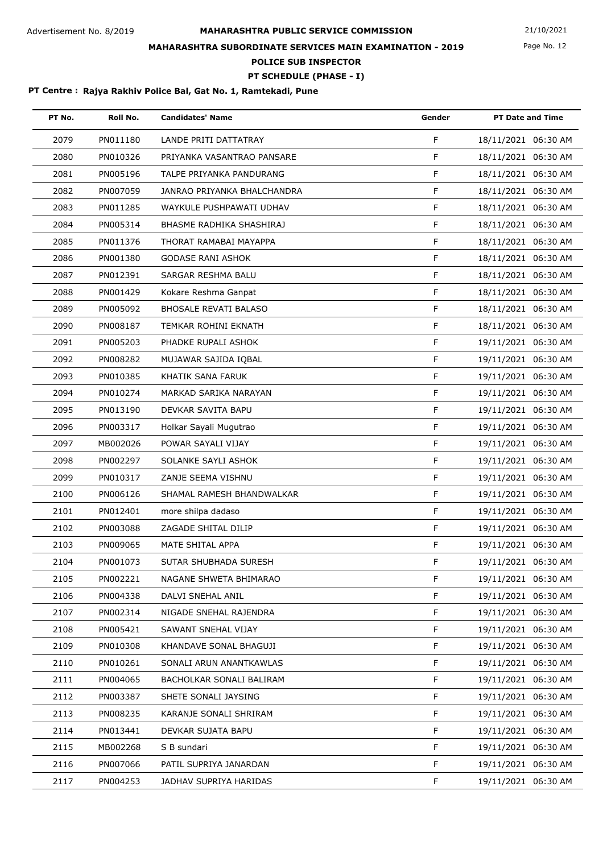Page No. 12

## **MAHARASHTRA SUBORDINATE SERVICES MAIN EXAMINATION - 2019**

**POLICE SUB INSPECTOR**

### **PT SCHEDULE (PHASE - I)**

| PT No. | Roll No. | <b>Candidates' Name</b>      | Gender       | <b>PT Date and Time</b> |
|--------|----------|------------------------------|--------------|-------------------------|
| 2079   | PN011180 | LANDE PRITI DATTATRAY        | F            | 18/11/2021 06:30 AM     |
| 2080   | PN010326 | PRIYANKA VASANTRAO PANSARE   | F            | 18/11/2021 06:30 AM     |
| 2081   | PN005196 | TALPE PRIYANKA PANDURANG     | F            | 18/11/2021 06:30 AM     |
| 2082   | PN007059 | JANRAO PRIYANKA BHALCHANDRA  | F            | 18/11/2021 06:30 AM     |
| 2083   | PN011285 | WAYKULE PUSHPAWATI UDHAV     | F            | 18/11/2021 06:30 AM     |
| 2084   | PN005314 | BHASME RADHIKA SHASHIRAJ     | F            | 18/11/2021 06:30 AM     |
| 2085   | PN011376 | THORAT RAMABAI MAYAPPA       | F            | 18/11/2021 06:30 AM     |
| 2086   | PN001380 | <b>GODASE RANI ASHOK</b>     | F            | 18/11/2021 06:30 AM     |
| 2087   | PN012391 | SARGAR RESHMA BALU           | F            | 18/11/2021 06:30 AM     |
| 2088   | PN001429 | Kokare Reshma Ganpat         | F            | 18/11/2021 06:30 AM     |
| 2089   | PN005092 | <b>BHOSALE REVATI BALASO</b> | $\mathsf{F}$ | 18/11/2021 06:30 AM     |
| 2090   | PN008187 | TEMKAR ROHINI EKNATH         | F            | 18/11/2021 06:30 AM     |
| 2091   | PN005203 | PHADKE RUPALI ASHOK          | F            | 19/11/2021 06:30 AM     |
| 2092   | PN008282 | MUJAWAR SAJIDA IQBAL         | F            | 19/11/2021 06:30 AM     |
| 2093   | PN010385 | KHATIK SANA FARUK            | F            | 19/11/2021 06:30 AM     |
| 2094   | PN010274 | MARKAD SARIKA NARAYAN        | F            | 19/11/2021 06:30 AM     |
| 2095   | PN013190 | DEVKAR SAVITA BAPU           | F            | 19/11/2021 06:30 AM     |
| 2096   | PN003317 | Holkar Sayali Mugutrao       | F            | 19/11/2021 06:30 AM     |
| 2097   | MB002026 | POWAR SAYALI VIJAY           | F            | 19/11/2021 06:30 AM     |
| 2098   | PN002297 | SOLANKE SAYLI ASHOK          | F            | 19/11/2021 06:30 AM     |
| 2099   | PN010317 | ZANJE SEEMA VISHNU           | F            | 19/11/2021 06:30 AM     |
| 2100   | PN006126 | SHAMAL RAMESH BHANDWALKAR    | F            | 19/11/2021 06:30 AM     |
| 2101   | PN012401 | more shilpa dadaso           | F            | 19/11/2021 06:30 AM     |
| 2102   | PN003088 | ZAGADE SHITAL DILIP          | F            | 19/11/2021 06:30 AM     |
| 2103   | PN009065 | MATE SHITAL APPA             | F            | 19/11/2021 06:30 AM     |
| 2104   | PN001073 | SUTAR SHUBHADA SURESH        | F            | 19/11/2021 06:30 AM     |
| 2105   | PN002221 | NAGANE SHWETA BHIMARAO       | F.           | 19/11/2021 06:30 AM     |
| 2106   | PN004338 | DALVI SNEHAL ANIL            | F.           | 19/11/2021 06:30 AM     |
| 2107   | PN002314 | NIGADE SNEHAL RAJENDRA       | F.           | 19/11/2021 06:30 AM     |
| 2108   | PN005421 | SAWANT SNEHAL VIJAY          | F            | 19/11/2021 06:30 AM     |
| 2109   | PN010308 | KHANDAVE SONAL BHAGUJI       | F.           | 19/11/2021 06:30 AM     |
| 2110   | PN010261 | SONALI ARUN ANANTKAWLAS      | F.           | 19/11/2021 06:30 AM     |
| 2111   | PN004065 | BACHOLKAR SONALI BALIRAM     | F.           | 19/11/2021 06:30 AM     |
| 2112   | PN003387 | SHETE SONALI JAYSING         | F.           | 19/11/2021 06:30 AM     |
| 2113   | PN008235 | KARANJE SONALI SHRIRAM       | F.           | 19/11/2021 06:30 AM     |
| 2114   | PN013441 | DEVKAR SUJATA BAPU           | F.           | 19/11/2021 06:30 AM     |
| 2115   | MB002268 | S B sundari                  | F.           | 19/11/2021 06:30 AM     |
| 2116   | PN007066 | PATIL SUPRIYA JANARDAN       | F            | 19/11/2021 06:30 AM     |
| 2117   | PN004253 | JADHAV SUPRIYA HARIDAS       | F            | 19/11/2021 06:30 AM     |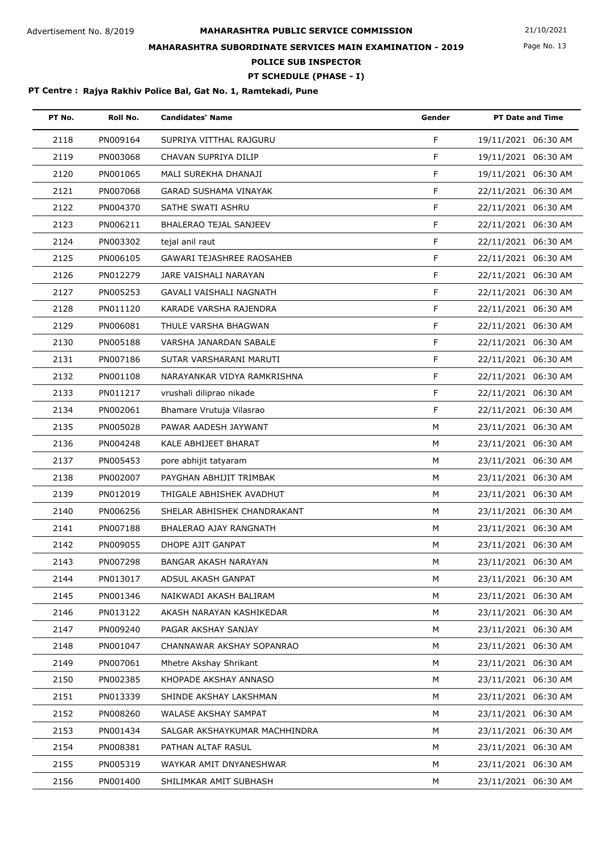Page No. 13

## **MAHARASHTRA SUBORDINATE SERVICES MAIN EXAMINATION - 2019**

**POLICE SUB INSPECTOR**

**PT SCHEDULE (PHASE - I)**

| PT No. | Roll No. | <b>Candidates' Name</b>          | Gender | <b>PT Date and Time</b> |
|--------|----------|----------------------------------|--------|-------------------------|
| 2118   | PN009164 | SUPRIYA VITTHAL RAJGURU          | F      | 19/11/2021 06:30 AM     |
| 2119   | PN003068 | CHAVAN SUPRIYA DILIP             | F      | 19/11/2021 06:30 AM     |
| 2120   | PN001065 | MALI SUREKHA DHANAJI             | F      | 19/11/2021 06:30 AM     |
| 2121   | PN007068 | <b>GARAD SUSHAMA VINAYAK</b>     | F      | 22/11/2021 06:30 AM     |
| 2122   | PN004370 | SATHE SWATI ASHRU                | F      | 22/11/2021 06:30 AM     |
| 2123   | PN006211 | BHALERAO TEJAL SANJEEV           | F      | 22/11/2021 06:30 AM     |
| 2124   | PN003302 | tejal anil raut                  | F      | 22/11/2021 06:30 AM     |
| 2125   | PN006105 | <b>GAWARI TEJASHREE RAOSAHEB</b> | F      | 22/11/2021 06:30 AM     |
| 2126   | PN012279 | JARE VAISHALI NARAYAN            | F      | 22/11/2021 06:30 AM     |
| 2127   | PN005253 | GAVALI VAISHALI NAGNATH          | F      | 22/11/2021 06:30 AM     |
| 2128   | PN011120 | KARADE VARSHA RAJENDRA           | F      | 22/11/2021 06:30 AM     |
| 2129   | PN006081 | THULE VARSHA BHAGWAN             | F      | 22/11/2021 06:30 AM     |
| 2130   | PN005188 | VARSHA JANARDAN SABALE           | F      | 22/11/2021 06:30 AM     |
| 2131   | PN007186 | SUTAR VARSHARANI MARUTI          | F      | 22/11/2021 06:30 AM     |
| 2132   | PN001108 | NARAYANKAR VIDYA RAMKRISHNA      | F      | 22/11/2021 06:30 AM     |
| 2133   | PN011217 | vrushali diliprao nikade         | F      | 22/11/2021 06:30 AM     |
| 2134   | PN002061 | Bhamare Vrutuja Vilasrao         | F      | 22/11/2021 06:30 AM     |
| 2135   | PN005028 | PAWAR AADESH JAYWANT             | М      | 23/11/2021 06:30 AM     |
| 2136   | PN004248 | KALE ABHIJEET BHARAT             | М      | 23/11/2021 06:30 AM     |
| 2137   | PN005453 | pore abhijit tatyaram            | M      | 23/11/2021 06:30 AM     |
| 2138   | PN002007 | PAYGHAN ABHIJIT TRIMBAK          | M      | 23/11/2021 06:30 AM     |
| 2139   | PN012019 | THIGALE ABHISHEK AVADHUT         | м      | 23/11/2021 06:30 AM     |
| 2140   | PN006256 | SHELAR ABHISHEK CHANDRAKANT      | м      | 23/11/2021 06:30 AM     |
| 2141   | PN007188 | <b>BHALERAO AJAY RANGNATH</b>    | М      | 23/11/2021 06:30 AM     |
| 2142   | PN009055 | DHOPE AJIT GANPAT                | М      | 23/11/2021 06:30 AM     |
| 2143   | PN007298 | BANGAR AKASH NARAYAN             | М      | 23/11/2021 06:30 AM     |
| 2144   | PN013017 | ADSUL AKASH GANPAT               | м      | 23/11/2021 06:30 AM     |
| 2145   | PN001346 | NAIKWADI AKASH BALIRAM           | М      | 23/11/2021 06:30 AM     |
| 2146   | PN013122 | AKASH NARAYAN KASHIKEDAR         | M      | 23/11/2021 06:30 AM     |
| 2147   | PN009240 | PAGAR AKSHAY SANJAY              | М      | 23/11/2021 06:30 AM     |
| 2148   | PN001047 | CHANNAWAR AKSHAY SOPANRAO        | м      | 23/11/2021 06:30 AM     |
| 2149   | PN007061 | Mhetre Akshay Shrikant           | м      | 23/11/2021 06:30 AM     |
| 2150   | PN002385 | KHOPADE AKSHAY ANNASO            | м      | 23/11/2021 06:30 AM     |
| 2151   | PN013339 | SHINDE AKSHAY LAKSHMAN           | М      | 23/11/2021 06:30 AM     |
| 2152   | PN008260 | WALASE AKSHAY SAMPAT             | М      | 23/11/2021 06:30 AM     |
| 2153   | PN001434 | SALGAR AKSHAYKUMAR MACHHINDRA    | М      | 23/11/2021 06:30 AM     |
| 2154   | PN008381 | PATHAN ALTAF RASUL               | M      | 23/11/2021 06:30 AM     |
| 2155   | PN005319 | WAYKAR AMIT DNYANESHWAR          | М      | 23/11/2021 06:30 AM     |
| 2156   | PN001400 | SHILIMKAR AMIT SUBHASH           | М      | 23/11/2021 06:30 AM     |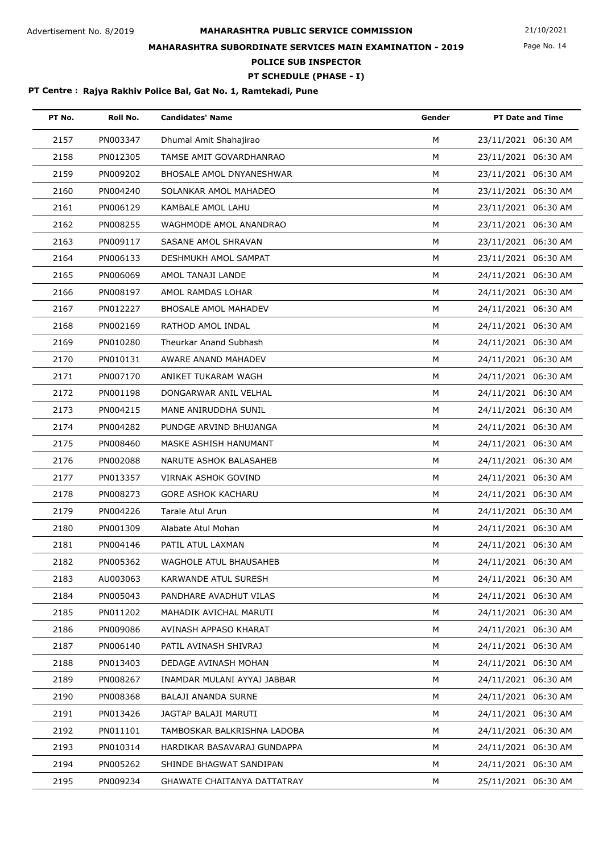Page No. 14

## **MAHARASHTRA SUBORDINATE SERVICES MAIN EXAMINATION - 2019**

**POLICE SUB INSPECTOR**

### **PT SCHEDULE (PHASE - I)**

| PT No. | Roll No. | <b>Candidates' Name</b>            | Gender | <b>PT Date and Time</b> |
|--------|----------|------------------------------------|--------|-------------------------|
| 2157   | PN003347 | Dhumal Amit Shahajirao             | M      | 23/11/2021 06:30 AM     |
| 2158   | PN012305 | TAMSE AMIT GOVARDHANRAO            | M      | 23/11/2021 06:30 AM     |
| 2159   | PN009202 | <b>BHOSALE AMOL DNYANESHWAR</b>    | М      | 23/11/2021 06:30 AM     |
| 2160   | PN004240 | SOLANKAR AMOL MAHADEO              | м      | 23/11/2021 06:30 AM     |
| 2161   | PN006129 | KAMBALE AMOL LAHU                  | M      | 23/11/2021 06:30 AM     |
| 2162   | PN008255 | WAGHMODE AMOL ANANDRAO             | M      | 23/11/2021 06:30 AM     |
| 2163   | PN009117 | SASANE AMOL SHRAVAN                | M      | 23/11/2021 06:30 AM     |
| 2164   | PN006133 | DESHMUKH AMOL SAMPAT               | M      | 23/11/2021 06:30 AM     |
| 2165   | PN006069 | AMOL TANAJI LANDE                  | M      | 24/11/2021 06:30 AM     |
| 2166   | PN008197 | AMOL RAMDAS LOHAR                  | M      | 24/11/2021 06:30 AM     |
| 2167   | PN012227 | <b>BHOSALE AMOL MAHADEV</b>        | M      | 24/11/2021 06:30 AM     |
| 2168   | PN002169 | RATHOD AMOL INDAL                  | М      | 24/11/2021 06:30 AM     |
| 2169   | PN010280 | Theurkar Anand Subhash             | M      | 24/11/2021 06:30 AM     |
| 2170   | PN010131 | AWARE ANAND MAHADEV                | M      | 24/11/2021 06:30 AM     |
| 2171   | PN007170 | ANIKET TUKARAM WAGH                | M      | 24/11/2021 06:30 AM     |
| 2172   | PN001198 | DONGARWAR ANIL VELHAL              | M      | 24/11/2021 06:30 AM     |
| 2173   | PN004215 | MANE ANIRUDDHA SUNIL               | М      | 24/11/2021 06:30 AM     |
| 2174   | PN004282 | PUNDGE ARVIND BHUJANGA             | M      | 24/11/2021 06:30 AM     |
| 2175   | PN008460 | MASKE ASHISH HANUMANT              | M      | 24/11/2021 06:30 AM     |
| 2176   | PN002088 | NARUTE ASHOK BALASAHEB             | M      | 24/11/2021 06:30 AM     |
| 2177   | PN013357 | <b>VIRNAK ASHOK GOVIND</b>         | М      | 24/11/2021 06:30 AM     |
| 2178   | PN008273 | <b>GORE ASHOK KACHARU</b>          | М      | 24/11/2021 06:30 AM     |
| 2179   | PN004226 | Tarale Atul Arun                   | M      | 24/11/2021 06:30 AM     |
| 2180   | PN001309 | Alabate Atul Mohan                 | M      | 24/11/2021 06:30 AM     |
| 2181   | PN004146 | PATIL ATUL LAXMAN                  | М      | 24/11/2021 06:30 AM     |
| 2182   | PN005362 | WAGHOLE ATUL BHAUSAHEB             | М      | 24/11/2021 06:30 AM     |
| 2183   | AU003063 | KARWANDE ATUL SURESH               | м      | 24/11/2021 06:30 AM     |
| 2184   | PN005043 | PANDHARE AVADHUT VILAS             | М      | 24/11/2021 06:30 AM     |
| 2185   | PN011202 | MAHADIK AVICHAL MARUTI             | M      | 24/11/2021 06:30 AM     |
| 2186   | PN009086 | AVINASH APPASO KHARAT              | м      | 24/11/2021 06:30 AM     |
| 2187   | PN006140 | PATIL AVINASH SHIVRAJ              | м      | 24/11/2021 06:30 AM     |
| 2188   | PN013403 | DEDAGE AVINASH MOHAN               | М      | 24/11/2021 06:30 AM     |
| 2189   | PN008267 | INAMDAR MULANI AYYAJ JABBAR        | М      | 24/11/2021 06:30 AM     |
| 2190   | PN008368 | BALAJI ANANDA SURNE                | м      | 24/11/2021 06:30 AM     |
| 2191   | PN013426 | JAGTAP BALAJI MARUTI               | м      | 24/11/2021 06:30 AM     |
| 2192   | PN011101 | TAMBOSKAR BALKRISHNA LADOBA        | М      | 24/11/2021 06:30 AM     |
| 2193   | PN010314 | HARDIKAR BASAVARAJ GUNDAPPA        | М      | 24/11/2021 06:30 AM     |
| 2194   | PN005262 | SHINDE BHAGWAT SANDIPAN            | М      | 24/11/2021 06:30 AM     |
| 2195   | PN009234 | <b>GHAWATE CHAITANYA DATTATRAY</b> | м      | 25/11/2021 06:30 AM     |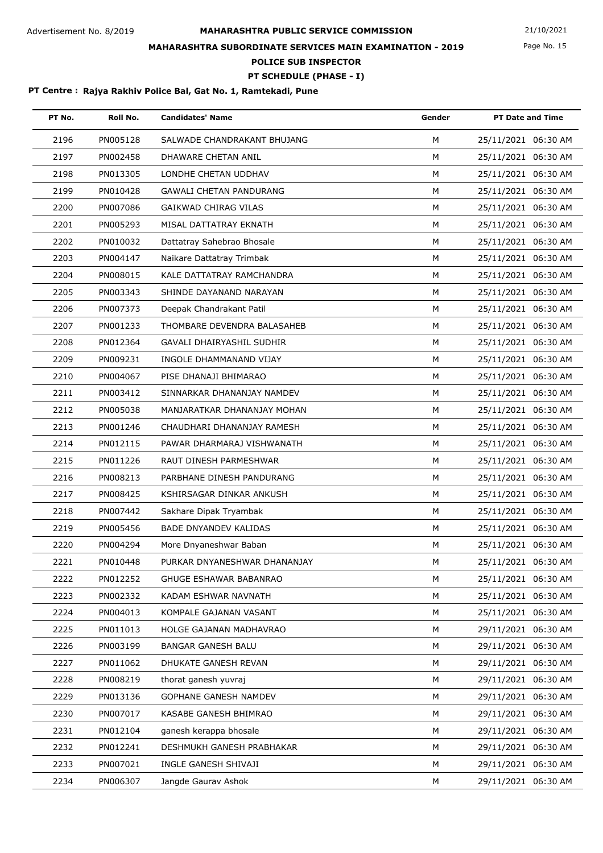Page No. 15

## **MAHARASHTRA SUBORDINATE SERVICES MAIN EXAMINATION - 2019**

**POLICE SUB INSPECTOR**

### **PT SCHEDULE (PHASE - I)**

| PT No. | Roll No. | <b>Candidates' Name</b>        | Gender | <b>PT Date and Time</b> |
|--------|----------|--------------------------------|--------|-------------------------|
| 2196   | PN005128 | SALWADE CHANDRAKANT BHUJANG    | M      | 25/11/2021 06:30 AM     |
| 2197   | PN002458 | DHAWARE CHETAN ANIL            | M      | 25/11/2021 06:30 AM     |
| 2198   | PN013305 | LONDHE CHETAN UDDHAV           | M      | 25/11/2021 06:30 AM     |
| 2199   | PN010428 | <b>GAWALI CHETAN PANDURANG</b> | M      | 25/11/2021 06:30 AM     |
| 2200   | PN007086 | <b>GAIKWAD CHIRAG VILAS</b>    | M      | 25/11/2021 06:30 AM     |
| 2201   | PN005293 | MISAL DATTATRAY EKNATH         | M      | 25/11/2021 06:30 AM     |
| 2202   | PN010032 | Dattatray Sahebrao Bhosale     | M      | 25/11/2021 06:30 AM     |
| 2203   | PN004147 | Naikare Dattatray Trimbak      | M      | 25/11/2021 06:30 AM     |
| 2204   | PN008015 | KALE DATTATRAY RAMCHANDRA      | M      | 25/11/2021 06:30 AM     |
| 2205   | PN003343 | SHINDE DAYANAND NARAYAN        | M      | 25/11/2021 06:30 AM     |
| 2206   | PN007373 | Deepak Chandrakant Patil       | M      | 25/11/2021 06:30 AM     |
| 2207   | PN001233 | THOMBARE DEVENDRA BALASAHEB    | M      | 25/11/2021 06:30 AM     |
| 2208   | PN012364 | GAVALI DHAIRYASHIL SUDHIR      | M      | 25/11/2021 06:30 AM     |
| 2209   | PN009231 | INGOLE DHAMMANAND VIJAY        | M      | 25/11/2021 06:30 AM     |
| 2210   | PN004067 | PISE DHANAJI BHIMARAO          | M      | 25/11/2021 06:30 AM     |
| 2211   | PN003412 | SINNARKAR DHANANJAY NAMDEV     | M      | 25/11/2021 06:30 AM     |
| 2212   | PN005038 | MANJARATKAR DHANANJAY MOHAN    | M      | 25/11/2021 06:30 AM     |
| 2213   | PN001246 | CHAUDHARI DHANANJAY RAMESH     | M      | 25/11/2021 06:30 AM     |
| 2214   | PN012115 | PAWAR DHARMARAJ VISHWANATH     | м      | 25/11/2021 06:30 AM     |
| 2215   | PN011226 | RAUT DINESH PARMESHWAR         | M      | 25/11/2021 06:30 AM     |
| 2216   | PN008213 | PARBHANE DINESH PANDURANG      | M      | 25/11/2021 06:30 AM     |
| 2217   | PN008425 | KSHIRSAGAR DINKAR ANKUSH       | M      | 25/11/2021 06:30 AM     |
| 2218   | PN007442 | Sakhare Dipak Tryambak         | M      | 25/11/2021 06:30 AM     |
| 2219   | PN005456 | BADE DNYANDEV KALIDAS          | M      | 25/11/2021 06:30 AM     |
| 2220   | PN004294 | More Dnyaneshwar Baban         | M      | 25/11/2021 06:30 AM     |
| 2221   | PN010448 | PURKAR DNYANESHWAR DHANANJAY   | М      | 25/11/2021 06:30 AM     |
| 2222   | PN012252 | <b>GHUGE ESHAWAR BABANRAO</b>  | м      | 25/11/2021 06:30 AM     |
| 2223   | PN002332 | KADAM ESHWAR NAVNATH           | м      | 25/11/2021 06:30 AM     |
| 2224   | PN004013 | KOMPALE GAJANAN VASANT         | M      | 25/11/2021 06:30 AM     |
| 2225   | PN011013 | HOLGE GAJANAN MADHAVRAO        | M      | 29/11/2021 06:30 AM     |
| 2226   | PN003199 | <b>BANGAR GANESH BALU</b>      | M      | 29/11/2021 06:30 AM     |
| 2227   | PN011062 | DHUKATE GANESH REVAN           | M      | 29/11/2021 06:30 AM     |
| 2228   | PN008219 | thorat ganesh yuvraj           | м      | 29/11/2021 06:30 AM     |
| 2229   | PN013136 | <b>GOPHANE GANESH NAMDEV</b>   | M      | 29/11/2021 06:30 AM     |
| 2230   | PN007017 | KASABE GANESH BHIMRAO          | M      | 29/11/2021 06:30 AM     |
| 2231   | PN012104 | ganesh kerappa bhosale         | M      | 29/11/2021 06:30 AM     |
| 2232   | PN012241 | DESHMUKH GANESH PRABHAKAR      | M      | 29/11/2021 06:30 AM     |
| 2233   | PN007021 | INGLE GANESH SHIVAJI           | M      | 29/11/2021 06:30 AM     |
| 2234   | PN006307 | Jangde Gaurav Ashok            | М      | 29/11/2021 06:30 AM     |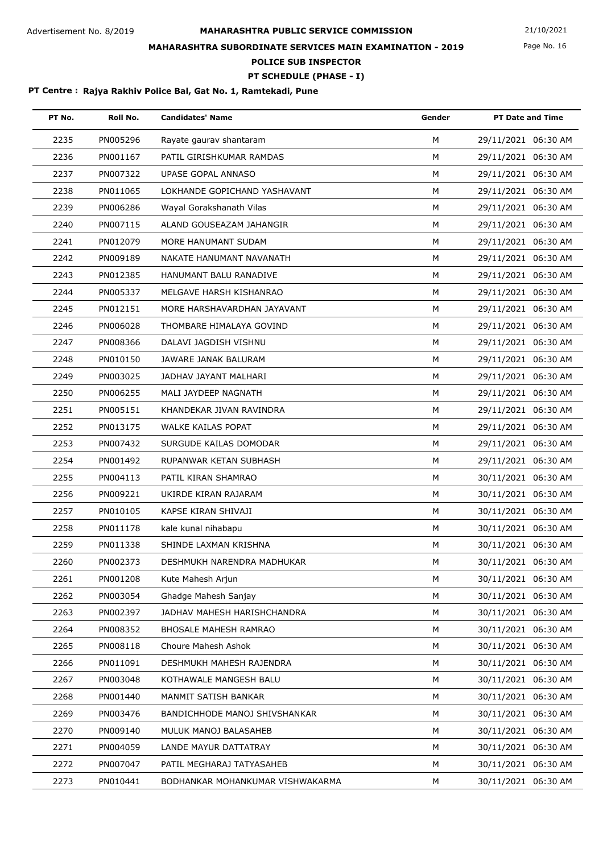Page No. 16

## **MAHARASHTRA SUBORDINATE SERVICES MAIN EXAMINATION - 2019**

**POLICE SUB INSPECTOR**

### **PT SCHEDULE (PHASE - I)**

| PT No. | Roll No. | <b>Candidates' Name</b>          | Gender | <b>PT Date and Time</b> |
|--------|----------|----------------------------------|--------|-------------------------|
| 2235   | PN005296 | Rayate gaurav shantaram          | M      | 29/11/2021 06:30 AM     |
| 2236   | PN001167 | PATIL GIRISHKUMAR RAMDAS         | M      | 29/11/2021 06:30 AM     |
| 2237   | PN007322 | <b>UPASE GOPAL ANNASO</b>        | M      | 29/11/2021 06:30 AM     |
| 2238   | PN011065 | LOKHANDE GOPICHAND YASHAVANT     | М      | 29/11/2021 06:30 AM     |
| 2239   | PN006286 | Wayal Gorakshanath Vilas         | M      | 29/11/2021 06:30 AM     |
| 2240   | PN007115 | ALAND GOUSEAZAM JAHANGIR         | M      | 29/11/2021 06:30 AM     |
| 2241   | PN012079 | MORE HANUMANT SUDAM              | M      | 29/11/2021 06:30 AM     |
| 2242   | PN009189 | NAKATE HANUMANT NAVANATH         | M      | 29/11/2021 06:30 AM     |
| 2243   | PN012385 | HANUMANT BALU RANADIVE           | M      | 29/11/2021 06:30 AM     |
| 2244   | PN005337 | MELGAVE HARSH KISHANRAO          | M      | 29/11/2021 06:30 AM     |
| 2245   | PN012151 | MORE HARSHAVARDHAN JAYAVANT      | M      | 29/11/2021 06:30 AM     |
| 2246   | PN006028 | THOMBARE HIMALAYA GOVIND         | M      | 29/11/2021 06:30 AM     |
| 2247   | PN008366 | DALAVI JAGDISH VISHNU            | M      | 29/11/2021 06:30 AM     |
| 2248   | PN010150 | JAWARE JANAK BALURAM             | М      | 29/11/2021 06:30 AM     |
| 2249   | PN003025 | JADHAV JAYANT MALHARI            | M      | 29/11/2021 06:30 AM     |
| 2250   | PN006255 | MALI JAYDEEP NAGNATH             | M      | 29/11/2021 06:30 AM     |
| 2251   | PN005151 | KHANDEKAR JIVAN RAVINDRA         | M      | 29/11/2021 06:30 AM     |
| 2252   | PN013175 | WALKE KAILAS POPAT               | M      | 29/11/2021 06:30 AM     |
| 2253   | PN007432 | SURGUDE KAILAS DOMODAR           | M      | 29/11/2021 06:30 AM     |
| 2254   | PN001492 | RUPANWAR KETAN SUBHASH           | M      | 29/11/2021 06:30 AM     |
| 2255   | PN004113 | PATIL KIRAN SHAMRAO              | M      | 30/11/2021 06:30 AM     |
| 2256   | PN009221 | UKIRDE KIRAN RAJARAM             | M      | 30/11/2021 06:30 AM     |
| 2257   | PN010105 | KAPSE KIRAN SHIVAJI              | M      | 30/11/2021 06:30 AM     |
| 2258   | PN011178 | kale kunal nihabapu              | M      | 30/11/2021 06:30 AM     |
| 2259   | PN011338 | SHINDE LAXMAN KRISHNA            | М      | 30/11/2021 06:30 AM     |
| 2260   | PN002373 | DESHMUKH NARENDRA MADHUKAR       | М      | 30/11/2021 06:30 AM     |
| 2261   | PN001208 | Kute Mahesh Arjun                | M      | 30/11/2021 06:30 AM     |
| 2262   | PN003054 | Ghadge Mahesh Sanjay             | М      | 30/11/2021 06:30 AM     |
| 2263   | PN002397 | JADHAV MAHESH HARISHCHANDRA      | M      | 30/11/2021 06:30 AM     |
| 2264   | PN008352 | <b>BHOSALE MAHESH RAMRAO</b>     | M      | 30/11/2021 06:30 AM     |
| 2265   | PN008118 | Choure Mahesh Ashok              | M      | 30/11/2021 06:30 AM     |
| 2266   | PN011091 | DESHMUKH MAHESH RAJENDRA         | М      | 30/11/2021 06:30 AM     |
| 2267   | PN003048 | KOTHAWALE MANGESH BALU           | M      | 30/11/2021 06:30 AM     |
| 2268   | PN001440 | MANMIT SATISH BANKAR             | M      | 30/11/2021 06:30 AM     |
| 2269   | PN003476 | BANDICHHODE MANOJ SHIVSHANKAR    | М      | 30/11/2021 06:30 AM     |
| 2270   | PN009140 | MULUK MANOJ BALASAHEB            | М      | 30/11/2021 06:30 AM     |
| 2271   | PN004059 | LANDE MAYUR DATTATRAY            | М      | 30/11/2021 06:30 AM     |
| 2272   | PN007047 | PATIL MEGHARAJ TATYASAHEB        | М      | 30/11/2021 06:30 AM     |
| 2273   | PN010441 | BODHANKAR MOHANKUMAR VISHWAKARMA | М      | 30/11/2021 06:30 AM     |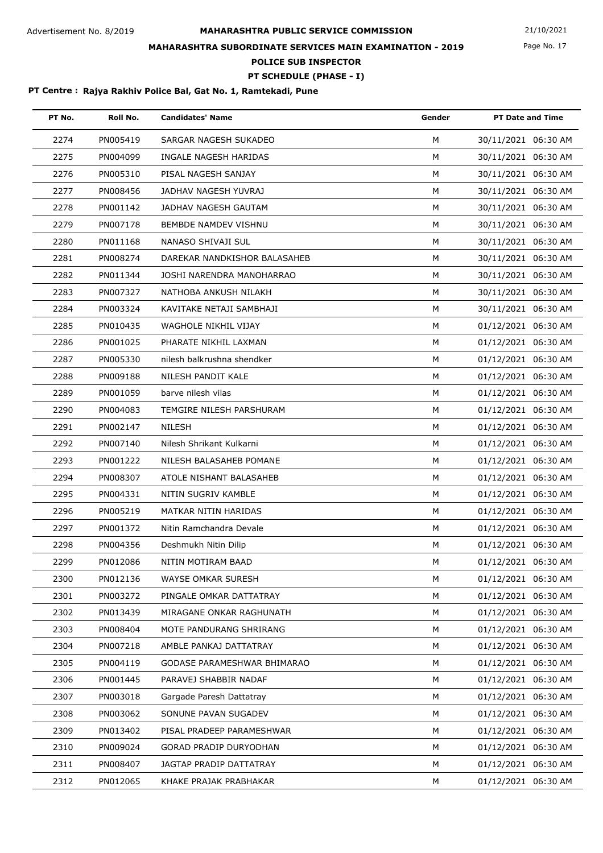Page No. 17

## **MAHARASHTRA SUBORDINATE SERVICES MAIN EXAMINATION - 2019**

**POLICE SUB INSPECTOR**

### **PT SCHEDULE (PHASE - I)**

| PT No. | Roll No. | <b>Candidates' Name</b>      | Gender | <b>PT Date and Time</b> |
|--------|----------|------------------------------|--------|-------------------------|
| 2274   | PN005419 | SARGAR NAGESH SUKADEO        | M      | 30/11/2021 06:30 AM     |
| 2275   | PN004099 | INGALE NAGESH HARIDAS        | M      | 30/11/2021 06:30 AM     |
| 2276   | PN005310 | PISAL NAGESH SANJAY          | M      | 30/11/2021 06:30 AM     |
| 2277   | PN008456 | JADHAV NAGESH YUVRAJ         | М      | 30/11/2021 06:30 AM     |
| 2278   | PN001142 | JADHAV NAGESH GAUTAM         | м      | 30/11/2021 06:30 AM     |
| 2279   | PN007178 | BEMBDE NAMDEV VISHNU         | M      | 30/11/2021 06:30 AM     |
| 2280   | PN011168 | NANASO SHIVAJI SUL           | M      | 30/11/2021 06:30 AM     |
| 2281   | PN008274 | DAREKAR NANDKISHOR BALASAHEB | M      | 30/11/2021 06:30 AM     |
| 2282   | PN011344 | JOSHI NARENDRA MANOHARRAO    | М      | 30/11/2021 06:30 AM     |
| 2283   | PN007327 | NATHOBA ANKUSH NILAKH        | м      | 30/11/2021 06:30 AM     |
| 2284   | PN003324 | KAVITAKE NETAJI SAMBHAJI     | M      | 30/11/2021 06:30 AM     |
| 2285   | PN010435 | WAGHOLE NIKHIL VIJAY         | M      | 01/12/2021 06:30 AM     |
| 2286   | PN001025 | PHARATE NIKHIL LAXMAN        | м      | 01/12/2021 06:30 AM     |
| 2287   | PN005330 | nilesh balkrushna shendker   | м      | 01/12/2021 06:30 AM     |
| 2288   | PN009188 | NILESH PANDIT KALE           | M      | 01/12/2021 06:30 AM     |
| 2289   | PN001059 | barve nilesh vilas           | M      | 01/12/2021 06:30 AM     |
| 2290   | PN004083 | TEMGIRE NILESH PARSHURAM     | M      | 01/12/2021 06:30 AM     |
| 2291   | PN002147 | <b>NILESH</b>                | M      | 01/12/2021 06:30 AM     |
| 2292   | PN007140 | Nilesh Shrikant Kulkarni     | М      | 01/12/2021 06:30 AM     |
| 2293   | PN001222 | NILESH BALASAHEB POMANE      | M      | 01/12/2021 06:30 AM     |
| 2294   | PN008307 | ATOLE NISHANT BALASAHEB      | M      | 01/12/2021 06:30 AM     |
| 2295   | PN004331 | NITIN SUGRIV KAMBLE          | м      | 01/12/2021 06:30 AM     |
| 2296   | PN005219 | MATKAR NITIN HARIDAS         | M      | 01/12/2021 06:30 AM     |
| 2297   | PN001372 | Nitin Ramchandra Devale      | M      | 01/12/2021 06:30 AM     |
| 2298   | PN004356 | Deshmukh Nitin Dilip         | м      | 01/12/2021 06:30 AM     |
| 2299   | PN012086 | NITIN MOTIRAM BAAD           | м      | 01/12/2021 06:30 AM     |
| 2300   | PN012136 | WAYSE OMKAR SURESH           | м      | 01/12/2021 06:30 AM     |
| 2301   | PN003272 | PINGALE OMKAR DATTATRAY      | M      | 01/12/2021 06:30 AM     |
| 2302   | PN013439 | MIRAGANE ONKAR RAGHUNATH     | M      | 01/12/2021 06:30 AM     |
| 2303   | PN008404 | MOTE PANDURANG SHRIRANG      | M      | 01/12/2021 06:30 AM     |
| 2304   | PN007218 | AMBLE PANKAJ DATTATRAY       | м      | 01/12/2021 06:30 AM     |
| 2305   | PN004119 | GODASE PARAMESHWAR BHIMARAO  | М      | 01/12/2021 06:30 AM     |
| 2306   | PN001445 | PARAVEJ SHABBIR NADAF        | м      | 01/12/2021 06:30 AM     |
| 2307   | PN003018 | Gargade Paresh Dattatray     | M      | 01/12/2021 06:30 AM     |
| 2308   | PN003062 | SONUNE PAVAN SUGADEV         | M      | 01/12/2021 06:30 AM     |
| 2309   | PN013402 | PISAL PRADEEP PARAMESHWAR    | м      | 01/12/2021 06:30 AM     |
| 2310   | PN009024 | GORAD PRADIP DURYODHAN       | M      | 01/12/2021 06:30 AM     |
| 2311   | PN008407 | JAGTAP PRADIP DATTATRAY      | м      | 01/12/2021 06:30 AM     |
| 2312   | PN012065 | KHAKE PRAJAK PRABHAKAR       | М      | 01/12/2021 06:30 AM     |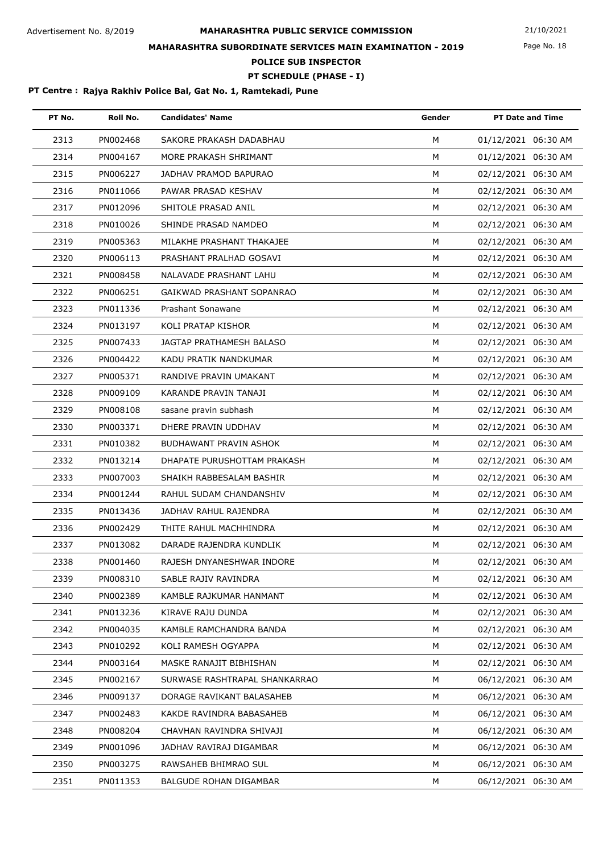Page No. 18

## **MAHARASHTRA SUBORDINATE SERVICES MAIN EXAMINATION - 2019**

**POLICE SUB INSPECTOR**

### **PT SCHEDULE (PHASE - I)**

| PT No. | Roll No. | <b>Candidates' Name</b>       | Gender | <b>PT Date and Time</b> |
|--------|----------|-------------------------------|--------|-------------------------|
| 2313   | PN002468 | SAKORE PRAKASH DADABHAU       | M      | 01/12/2021 06:30 AM     |
| 2314   | PN004167 | MORE PRAKASH SHRIMANT         | M      | 01/12/2021 06:30 AM     |
| 2315   | PN006227 | JADHAV PRAMOD BAPURAO         | M      | 02/12/2021 06:30 AM     |
| 2316   | PN011066 | PAWAR PRASAD KESHAV           | M      | 02/12/2021 06:30 AM     |
| 2317   | PN012096 | SHITOLE PRASAD ANIL           | M      | 02/12/2021 06:30 AM     |
| 2318   | PN010026 | SHINDE PRASAD NAMDEO          | M      | 02/12/2021 06:30 AM     |
| 2319   | PN005363 | MILAKHE PRASHANT THAKAJEE     | M      | 02/12/2021 06:30 AM     |
| 2320   | PN006113 | PRASHANT PRALHAD GOSAVI       | M      | 02/12/2021 06:30 AM     |
| 2321   | PN008458 | NALAVADE PRASHANT LAHU        | M      | 02/12/2021 06:30 AM     |
| 2322   | PN006251 | GAIKWAD PRASHANT SOPANRAO     | M      | 02/12/2021 06:30 AM     |
| 2323   | PN011336 | Prashant Sonawane             | M      | 02/12/2021 06:30 AM     |
| 2324   | PN013197 | KOLI PRATAP KISHOR            | M      | 02/12/2021 06:30 AM     |
| 2325   | PN007433 | JAGTAP PRATHAMESH BALASO      | M      | 02/12/2021 06:30 AM     |
| 2326   | PN004422 | KADU PRATIK NANDKUMAR         | M      | 02/12/2021 06:30 AM     |
| 2327   | PN005371 | RANDIVE PRAVIN UMAKANT        | M      | 02/12/2021 06:30 AM     |
| 2328   | PN009109 | KARANDE PRAVIN TANAJI         | M      | 02/12/2021 06:30 AM     |
| 2329   | PN008108 | sasane pravin subhash         | M      | 02/12/2021 06:30 AM     |
| 2330   | PN003371 | DHERE PRAVIN UDDHAV           | M      | 02/12/2021 06:30 AM     |
| 2331   | PN010382 | <b>BUDHAWANT PRAVIN ASHOK</b> | M      | 02/12/2021 06:30 AM     |
| 2332   | PN013214 | DHAPATE PURUSHOTTAM PRAKASH   | M      | 02/12/2021 06:30 AM     |
| 2333   | PN007003 | SHAIKH RABBESALAM BASHIR      | М      | 02/12/2021 06:30 AM     |
| 2334   | PN001244 | RAHUL SUDAM CHANDANSHIV       | М      | 02/12/2021 06:30 AM     |
| 2335   | PN013436 | JADHAV RAHUL RAJENDRA         | M      | 02/12/2021 06:30 AM     |
| 2336   | PN002429 | THITE RAHUL MACHHINDRA        | M      | 02/12/2021 06:30 AM     |
| 2337   | PN013082 | DARADE RAJENDRA KUNDLIK       | M      | 02/12/2021 06:30 AM     |
| 2338   | PN001460 | RAJESH DNYANESHWAR INDORE     | м      | 02/12/2021 06:30 AM     |
| 2339   | PN008310 | SABLE RAJIV RAVINDRA          | м      | 02/12/2021 06:30 AM     |
| 2340   | PN002389 | KAMBLE RAJKUMAR HANMANT       | М      | 02/12/2021 06:30 AM     |
| 2341   | PN013236 | KIRAVE RAJU DUNDA             | M      | 02/12/2021 06:30 AM     |
| 2342   | PN004035 | KAMBLE RAMCHANDRA BANDA       | М      | 02/12/2021 06:30 AM     |
| 2343   | PN010292 | KOLI RAMESH OGYAPPA           | м      | 02/12/2021 06:30 AM     |
| 2344   | PN003164 | MASKE RANAJIT BIBHISHAN       | м      | 02/12/2021 06:30 AM     |
| 2345   | PN002167 | SURWASE RASHTRAPAL SHANKARRAO | М      | 06/12/2021 06:30 AM     |
| 2346   | PN009137 | DORAGE RAVIKANT BALASAHEB     | М      | 06/12/2021 06:30 AM     |
| 2347   | PN002483 | KAKDE RAVINDRA BABASAHEB      | М      | 06/12/2021 06:30 AM     |
| 2348   | PN008204 | CHAVHAN RAVINDRA SHIVAJI      | M      | 06/12/2021 06:30 AM     |
| 2349   | PN001096 | JADHAV RAVIRAJ DIGAMBAR       | М      | 06/12/2021 06:30 AM     |
| 2350   | PN003275 | RAWSAHEB BHIMRAO SUL          | М      | 06/12/2021 06:30 AM     |
| 2351   | PN011353 | BALGUDE ROHAN DIGAMBAR        | М      | 06/12/2021 06:30 AM     |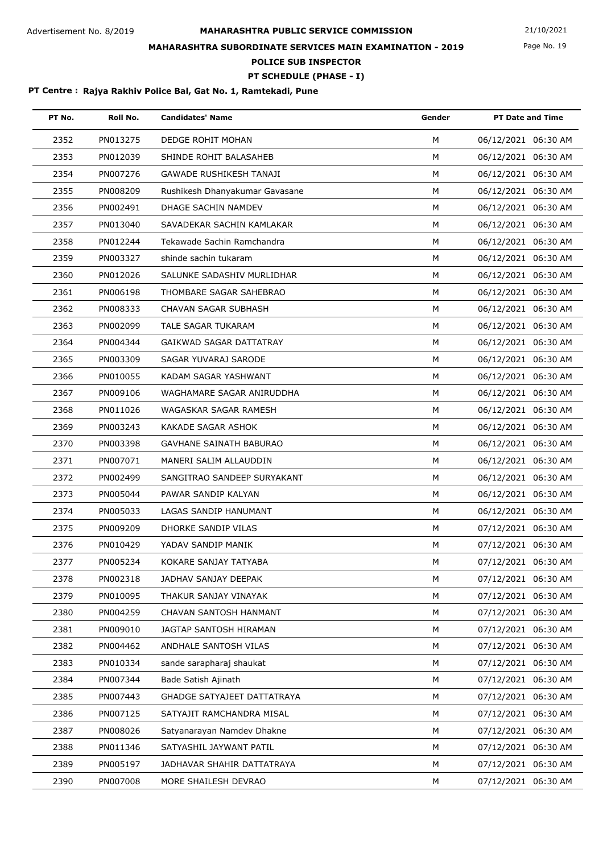Page No. 19

## **MAHARASHTRA SUBORDINATE SERVICES MAIN EXAMINATION - 2019**

**POLICE SUB INSPECTOR**

### **PT SCHEDULE (PHASE - I)**

| PT No. | Roll No. | <b>Candidates' Name</b>        | Gender | <b>PT Date and Time</b> |
|--------|----------|--------------------------------|--------|-------------------------|
| 2352   | PN013275 | DEDGE ROHIT MOHAN              | M      | 06/12/2021 06:30 AM     |
| 2353   | PN012039 | SHINDE ROHIT BALASAHEB         | M      | 06/12/2021 06:30 AM     |
| 2354   | PN007276 | <b>GAWADE RUSHIKESH TANAJI</b> | М      | 06/12/2021 06:30 AM     |
| 2355   | PN008209 | Rushikesh Dhanyakumar Gavasane | М      | 06/12/2021 06:30 AM     |
| 2356   | PN002491 | DHAGE SACHIN NAMDEV            | M      | 06/12/2021 06:30 AM     |
| 2357   | PN013040 | SAVADEKAR SACHIN KAMLAKAR      | M      | 06/12/2021 06:30 AM     |
| 2358   | PN012244 | Tekawade Sachin Ramchandra     | M      | 06/12/2021 06:30 AM     |
| 2359   | PN003327 | shinde sachin tukaram          | M      | 06/12/2021 06:30 AM     |
| 2360   | PN012026 | SALUNKE SADASHIV MURLIDHAR     | M      | 06/12/2021 06:30 AM     |
| 2361   | PN006198 | THOMBARE SAGAR SAHEBRAO        | M      | 06/12/2021 06:30 AM     |
| 2362   | PN008333 | CHAVAN SAGAR SUBHASH           | M      | 06/12/2021 06:30 AM     |
| 2363   | PN002099 | TALE SAGAR TUKARAM             | M      | 06/12/2021 06:30 AM     |
| 2364   | PN004344 | GAIKWAD SAGAR DATTATRAY        | M      | 06/12/2021 06:30 AM     |
| 2365   | PN003309 | SAGAR YUVARAJ SARODE           | М      | 06/12/2021 06:30 AM     |
| 2366   | PN010055 | KADAM SAGAR YASHWANT           | M      | 06/12/2021 06:30 AM     |
| 2367   | PN009106 | WAGHAMARE SAGAR ANIRUDDHA      | M      | 06/12/2021 06:30 AM     |
| 2368   | PN011026 | WAGASKAR SAGAR RAMESH          | M      | 06/12/2021 06:30 AM     |
| 2369   | PN003243 | KAKADE SAGAR ASHOK             | M      | 06/12/2021 06:30 AM     |
| 2370   | PN003398 | <b>GAVHANE SAINATH BABURAO</b> | M      | 06/12/2021 06:30 AM     |
| 2371   | PN007071 | MANERI SALIM ALLAUDDIN         | M      | 06/12/2021 06:30 AM     |
| 2372   | PN002499 | SANGITRAO SANDEEP SURYAKANT    | M      | 06/12/2021 06:30 AM     |
| 2373   | PN005044 | PAWAR SANDIP KALYAN            | M      | 06/12/2021 06:30 AM     |
| 2374   | PN005033 | LAGAS SANDIP HANUMANT          | M      | 06/12/2021 06:30 AM     |
| 2375   | PN009209 | DHORKE SANDIP VILAS            | M      | 07/12/2021 06:30 AM     |
| 2376   | PN010429 | YADAV SANDIP MANIK             | М      | 07/12/2021 06:30 AM     |
| 2377   | PN005234 | KOKARE SANJAY TATYABA          | М      | 07/12/2021 06:30 AM     |
| 2378   | PN002318 | JADHAV SANJAY DEEPAK           | M      | 07/12/2021 06:30 AM     |
| 2379   | PN010095 | THAKUR SANJAY VINAYAK          | М      | 07/12/2021 06:30 AM     |
| 2380   | PN004259 | CHAVAN SANTOSH HANMANT         | M      | 07/12/2021 06:30 AM     |
| 2381   | PN009010 | JAGTAP SANTOSH HIRAMAN         | M      | 07/12/2021 06:30 AM     |
| 2382   | PN004462 | ANDHALE SANTOSH VILAS          | M      | 07/12/2021 06:30 AM     |
| 2383   | PN010334 | sande sarapharaj shaukat       | M      | 07/12/2021 06:30 AM     |
| 2384   | PN007344 | Bade Satish Ajinath            | M      | 07/12/2021 06:30 AM     |
| 2385   | PN007443 | GHADGE SATYAJEET DATTATRAYA    | M      | 07/12/2021 06:30 AM     |
| 2386   | PN007125 | SATYAJIT RAMCHANDRA MISAL      | М      | 07/12/2021 06:30 AM     |
| 2387   | PN008026 | Satyanarayan Namdev Dhakne     | М      | 07/12/2021 06:30 AM     |
| 2388   | PN011346 | SATYASHIL JAYWANT PATIL        | М      | 07/12/2021 06:30 AM     |
| 2389   | PN005197 | JADHAVAR SHAHIR DATTATRAYA     | М      | 07/12/2021 06:30 AM     |
| 2390   | PN007008 | MORE SHAILESH DEVRAO           | М      | 07/12/2021 06:30 AM     |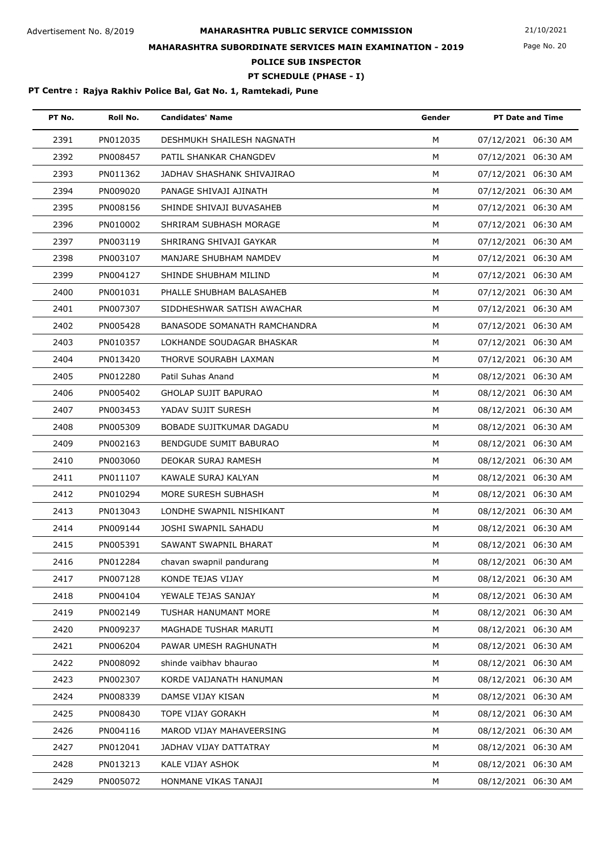Page No. 20

## **MAHARASHTRA SUBORDINATE SERVICES MAIN EXAMINATION - 2019**

**POLICE SUB INSPECTOR**

### **PT SCHEDULE (PHASE - I)**

| PT No. | Roll No. | <b>Candidates' Name</b>             | Gender | <b>PT Date and Time</b> |
|--------|----------|-------------------------------------|--------|-------------------------|
| 2391   | PN012035 | DESHMUKH SHAILESH NAGNATH           | M      | 07/12/2021 06:30 AM     |
| 2392   | PN008457 | PATIL SHANKAR CHANGDEV              | M      | 07/12/2021 06:30 AM     |
| 2393   | PN011362 | JADHAV SHASHANK SHIVAJIRAO          | M      | 07/12/2021 06:30 AM     |
| 2394   | PN009020 | PANAGE SHIVAJI AJINATH              | M      | 07/12/2021 06:30 AM     |
| 2395   | PN008156 | SHINDE SHIVAJI BUVASAHEB            | M      | 07/12/2021 06:30 AM     |
| 2396   | PN010002 | SHRIRAM SUBHASH MORAGE              | M      | 07/12/2021 06:30 AM     |
| 2397   | PN003119 | SHRIRANG SHIVAJI GAYKAR             | M      | 07/12/2021 06:30 AM     |
| 2398   | PN003107 | MANJARE SHUBHAM NAMDEV              | M      | 07/12/2021 06:30 AM     |
| 2399   | PN004127 | SHINDE SHUBHAM MILIND               | M      | 07/12/2021 06:30 AM     |
| 2400   | PN001031 | PHALLE SHUBHAM BALASAHEB            | M      | 07/12/2021 06:30 AM     |
| 2401   | PN007307 | SIDDHESHWAR SATISH AWACHAR          | M      | 07/12/2021 06:30 AM     |
| 2402   | PN005428 | <b>BANASODE SOMANATH RAMCHANDRA</b> | M      | 07/12/2021 06:30 AM     |
| 2403   | PN010357 | LOKHANDE SOUDAGAR BHASKAR           | M      | 07/12/2021 06:30 AM     |
| 2404   | PN013420 | THORVE SOURABH LAXMAN               | M      | 07/12/2021 06:30 AM     |
| 2405   | PN012280 | Patil Suhas Anand                   | M      | 08/12/2021 06:30 AM     |
| 2406   | PN005402 | <b>GHOLAP SUJIT BAPURAO</b>         | M      | 08/12/2021 06:30 AM     |
| 2407   | PN003453 | YADAV SUJIT SURESH                  | M      | 08/12/2021 06:30 AM     |
| 2408   | PN005309 | BOBADE SUJITKUMAR DAGADU            | M      | 08/12/2021 06:30 AM     |
| 2409   | PN002163 | BENDGUDE SUMIT BABURAO              | M      | 08/12/2021 06:30 AM     |
| 2410   | PN003060 | DEOKAR SURAJ RAMESH                 | M      | 08/12/2021 06:30 AM     |
| 2411   | PN011107 | KAWALE SURAJ KALYAN                 | M      | 08/12/2021 06:30 AM     |
| 2412   | PN010294 | MORE SURESH SUBHASH                 | М      | 08/12/2021 06:30 AM     |
| 2413   | PN013043 | LONDHE SWAPNIL NISHIKANT            | M      | 08/12/2021 06:30 AM     |
| 2414   | PN009144 | JOSHI SWAPNIL SAHADU                | M      | 08/12/2021 06:30 AM     |
| 2415   | PN005391 | SAWANT SWAPNIL BHARAT               | M      | 08/12/2021 06:30 AM     |
| 2416   | PN012284 | chavan swapnil pandurang            | м      | 08/12/2021 06:30 AM     |
| 2417   | PN007128 | KONDE TEJAS VIJAY                   | м      | 08/12/2021 06:30 AM     |
| 2418   | PN004104 | YEWALE TEJAS SANJAY                 | М      | 08/12/2021 06:30 AM     |
| 2419   | PN002149 | TUSHAR HANUMANT MORE                | M      | 08/12/2021 06:30 AM     |
| 2420   | PN009237 | MAGHADE TUSHAR MARUTI               | М      | 08/12/2021 06:30 AM     |
| 2421   | PN006204 | PAWAR UMESH RAGHUNATH               | м      | 08/12/2021 06:30 AM     |
| 2422   | PN008092 | shinde vaibhav bhaurao              | м      | 08/12/2021 06:30 AM     |
| 2423   | PN002307 | KORDE VAIJANATH HANUMAN             | М      | 08/12/2021 06:30 AM     |
| 2424   | PN008339 | DAMSE VIJAY KISAN                   | М      | 08/12/2021 06:30 AM     |
| 2425   | PN008430 | TOPE VIJAY GORAKH                   | М      | 08/12/2021 06:30 AM     |
| 2426   | PN004116 | MAROD VIJAY MAHAVEERSING            | M      | 08/12/2021 06:30 AM     |
| 2427   | PN012041 | JADHAV VIJAY DATTATRAY              | M      | 08/12/2021 06:30 AM     |
| 2428   | PN013213 | KALE VIJAY ASHOK                    | М      | 08/12/2021 06:30 AM     |
| 2429   | PN005072 | HONMANE VIKAS TANAJI                | М      | 08/12/2021 06:30 AM     |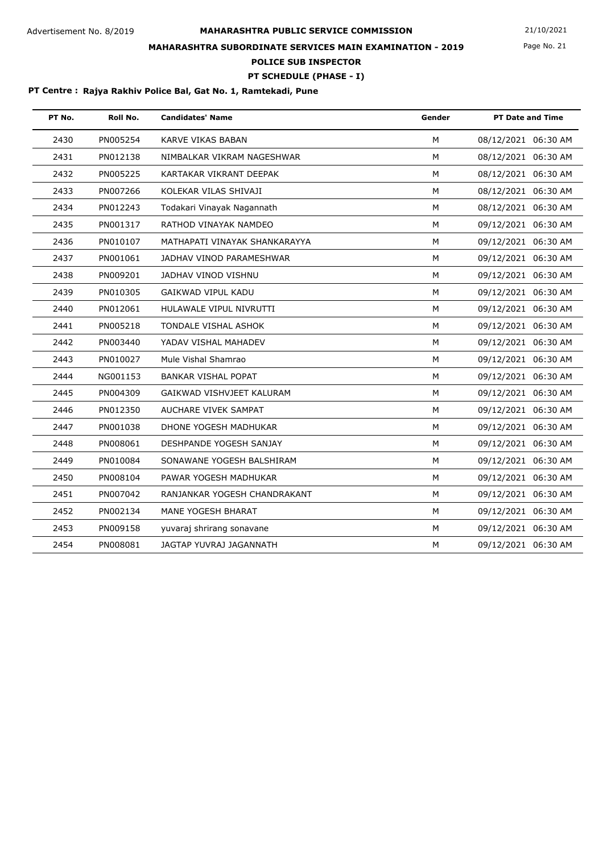Page No. 21

## **MAHARASHTRA SUBORDINATE SERVICES MAIN EXAMINATION - 2019**

**POLICE SUB INSPECTOR**

### **PT SCHEDULE (PHASE - I)**

| PT No. | Roll No. | <b>Candidates' Name</b>       | Gender | <b>PT Date and Time</b> |
|--------|----------|-------------------------------|--------|-------------------------|
| 2430   | PN005254 | KARVE VIKAS BABAN             | M      | 08/12/2021 06:30 AM     |
| 2431   | PN012138 | NIMBALKAR VIKRAM NAGESHWAR    | M      | 08/12/2021 06:30 AM     |
| 2432   | PN005225 | KARTAKAR VIKRANT DEEPAK       | M      | 08/12/2021 06:30 AM     |
| 2433   | PN007266 | KOLEKAR VILAS SHIVAJI         | M      | 08/12/2021 06:30 AM     |
| 2434   | PN012243 | Todakari Vinayak Nagannath    | M      | 08/12/2021 06:30 AM     |
| 2435   | PN001317 | RATHOD VINAYAK NAMDEO         | M      | 09/12/2021 06:30 AM     |
| 2436   | PN010107 | MATHAPATI VINAYAK SHANKARAYYA | м      | 09/12/2021 06:30 AM     |
| 2437   | PN001061 | JADHAV VINOD PARAMESHWAR      | M      | 09/12/2021 06:30 AM     |
| 2438   | PN009201 | JADHAV VINOD VISHNU           | M      | 09/12/2021 06:30 AM     |
| 2439   | PN010305 | GAIKWAD VIPUL KADU            | M      | 09/12/2021 06:30 AM     |
| 2440   | PN012061 | HULAWALE VIPUL NIVRUTTI       | M      | 09/12/2021 06:30 AM     |
| 2441   | PN005218 | <b>TONDALE VISHAL ASHOK</b>   | M      | 09/12/2021 06:30 AM     |
| 2442   | PN003440 | YADAV VISHAL MAHADEV          | M      | 09/12/2021 06:30 AM     |
| 2443   | PN010027 | Mule Vishal Shamrao           | M      | 09/12/2021 06:30 AM     |
| 2444   | NG001153 | <b>BANKAR VISHAL POPAT</b>    | M      | 09/12/2021 06:30 AM     |
| 2445   | PN004309 | GAIKWAD VISHVJEET KALURAM     | M      | 09/12/2021 06:30 AM     |
| 2446   | PN012350 | AUCHARE VIVEK SAMPAT          | M      | 09/12/2021 06:30 AM     |
| 2447   | PN001038 | DHONE YOGESH MADHUKAR         | M      | 09/12/2021 06:30 AM     |
| 2448   | PN008061 | DESHPANDE YOGESH SANJAY       | M      | 09/12/2021 06:30 AM     |
| 2449   | PN010084 | SONAWANE YOGESH BALSHIRAM     | M      | 09/12/2021 06:30 AM     |
| 2450   | PN008104 | PAWAR YOGESH MADHUKAR         | M      | 09/12/2021 06:30 AM     |
| 2451   | PN007042 | RANJANKAR YOGESH CHANDRAKANT  | M      | 09/12/2021 06:30 AM     |
| 2452   | PN002134 | MANE YOGESH BHARAT            | M      | 09/12/2021 06:30 AM     |
| 2453   | PN009158 | yuvaraj shrirang sonavane     | M      | 09/12/2021 06:30 AM     |
| 2454   | PN008081 | JAGTAP YUVRAJ JAGANNATH       | M      | 09/12/2021 06:30 AM     |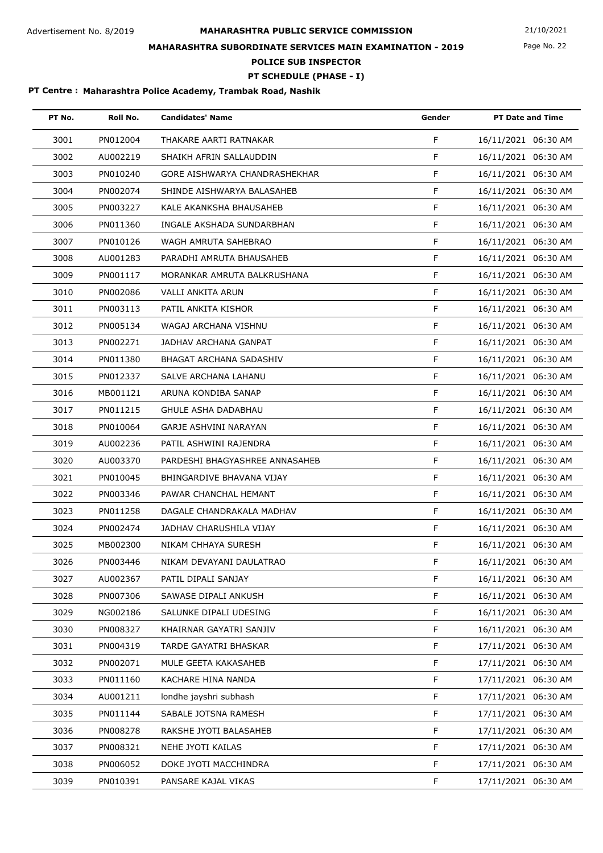Page No. 22

## **MAHARASHTRA SUBORDINATE SERVICES MAIN EXAMINATION - 2019**

**POLICE SUB INSPECTOR**

### **PT SCHEDULE (PHASE - I)**

| PT No. | Roll No. | <b>Candidates' Name</b>        | Gender | <b>PT Date and Time</b> |
|--------|----------|--------------------------------|--------|-------------------------|
| 3001   | PN012004 | THAKARE AARTI RATNAKAR         | F      | 16/11/2021 06:30 AM     |
| 3002   | AU002219 | SHAIKH AFRIN SALLAUDDIN        | F      | 16/11/2021 06:30 AM     |
| 3003   | PN010240 | GORE AISHWARYA CHANDRASHEKHAR  | F      | 16/11/2021 06:30 AM     |
| 3004   | PN002074 | SHINDE AISHWARYA BALASAHEB     | F      | 16/11/2021 06:30 AM     |
| 3005   | PN003227 | KALE AKANKSHA BHAUSAHEB        | F      | 16/11/2021 06:30 AM     |
| 3006   | PN011360 | INGALE AKSHADA SUNDARBHAN      | F      | 16/11/2021 06:30 AM     |
| 3007   | PN010126 | WAGH AMRUTA SAHEBRAO           | F      | 16/11/2021 06:30 AM     |
| 3008   | AU001283 | PARADHI AMRUTA BHAUSAHEB       | F      | 16/11/2021 06:30 AM     |
| 3009   | PN001117 | MORANKAR AMRUTA BALKRUSHANA    | F      | 16/11/2021 06:30 AM     |
| 3010   | PN002086 | VALLI ANKITA ARUN              | F      | 16/11/2021 06:30 AM     |
| 3011   | PN003113 | PATIL ANKITA KISHOR            | F.     | 16/11/2021 06:30 AM     |
| 3012   | PN005134 | WAGAJ ARCHANA VISHNU           | F      | 16/11/2021 06:30 AM     |
| 3013   | PN002271 | JADHAV ARCHANA GANPAT          | F      | 16/11/2021 06:30 AM     |
| 3014   | PN011380 | BHAGAT ARCHANA SADASHIV        | F      | 16/11/2021 06:30 AM     |
| 3015   | PN012337 | SALVE ARCHANA LAHANU           | F      | 16/11/2021 06:30 AM     |
| 3016   | MB001121 | ARUNA KONDIBA SANAP            | F      | 16/11/2021 06:30 AM     |
| 3017   | PN011215 | GHULE ASHA DADABHAU            | F      | 16/11/2021 06:30 AM     |
| 3018   | PN010064 | GARJE ASHVINI NARAYAN          | F      | 16/11/2021 06:30 AM     |
| 3019   | AU002236 | PATIL ASHWINI RAJENDRA         | F      | 16/11/2021 06:30 AM     |
| 3020   | AU003370 | PARDESHI BHAGYASHREE ANNASAHEB | F      | 16/11/2021 06:30 AM     |
| 3021   | PN010045 | BHINGARDIVE BHAVANA VIJAY      | F      | 16/11/2021 06:30 AM     |
| 3022   | PN003346 | PAWAR CHANCHAL HEMANT          | F      | 16/11/2021 06:30 AM     |
| 3023   | PN011258 | DAGALE CHANDRAKALA MADHAV      | F      | 16/11/2021 06:30 AM     |
| 3024   | PN002474 | JADHAV CHARUSHILA VIJAY        | F      | 16/11/2021 06:30 AM     |
| 3025   | MB002300 | NIKAM CHHAYA SURESH            | F      | 16/11/2021 06:30 AM     |
| 3026   | PN003446 | NIKAM DEVAYANI DAULATRAO       | F      | 16/11/2021 06:30 AM     |
| 3027   | AU002367 | PATIL DIPALI SANJAY            | F      | 16/11/2021 06:30 AM     |
| 3028   | PN007306 | SAWASE DIPALI ANKUSH           | F      | 16/11/2021 06:30 AM     |
| 3029   | NG002186 | SALUNKE DIPALI UDESING         | F      | 16/11/2021 06:30 AM     |
| 3030   | PN008327 | KHAIRNAR GAYATRI SANJIV        | F      | 16/11/2021 06:30 AM     |
| 3031   | PN004319 | TARDE GAYATRI BHASKAR          | F      | 17/11/2021 06:30 AM     |
| 3032   | PN002071 | MULE GEETA KAKASAHEB           | F      | 17/11/2021 06:30 AM     |
| 3033   | PN011160 | KACHARE HINA NANDA             | F      | 17/11/2021 06:30 AM     |
| 3034   | AU001211 | londhe jayshri subhash         | F      | 17/11/2021 06:30 AM     |
| 3035   | PN011144 | SABALE JOTSNA RAMESH           | F      | 17/11/2021 06:30 AM     |
| 3036   | PN008278 | RAKSHE JYOTI BALASAHEB         | F      | 17/11/2021 06:30 AM     |
| 3037   | PN008321 | NEHE JYOTI KAILAS              | F      | 17/11/2021 06:30 AM     |
| 3038   | PN006052 | DOKE JYOTI MACCHINDRA          | F      | 17/11/2021 06:30 AM     |
| 3039   | PN010391 | PANSARE KAJAL VIKAS            | F      | 17/11/2021 06:30 AM     |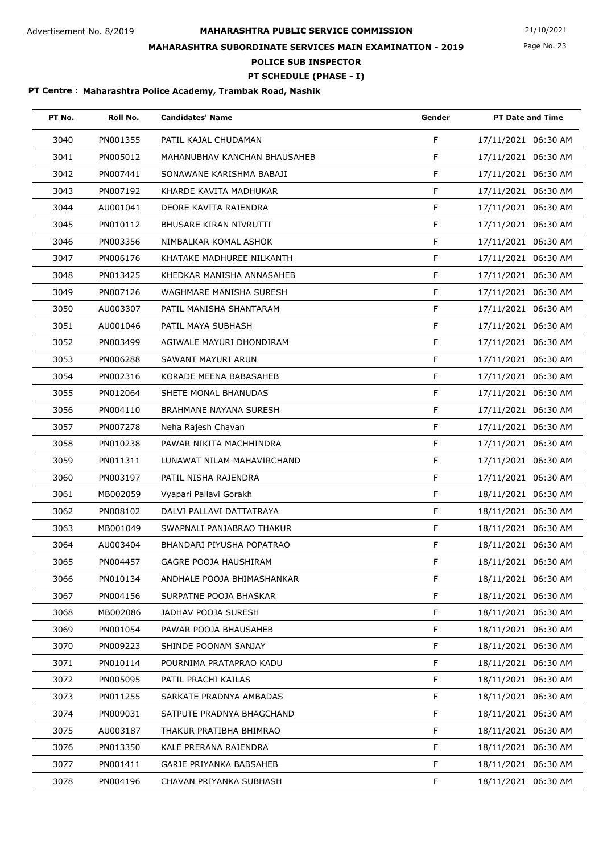Page No. 23

## **MAHARASHTRA SUBORDINATE SERVICES MAIN EXAMINATION - 2019**

**POLICE SUB INSPECTOR**

### **PT SCHEDULE (PHASE - I)**

| PT No. | Roll No. | <b>Candidates' Name</b>       | Gender      | <b>PT Date and Time</b> |
|--------|----------|-------------------------------|-------------|-------------------------|
| 3040   | PN001355 | PATIL KAJAL CHUDAMAN          | F           | 17/11/2021 06:30 AM     |
| 3041   | PN005012 | MAHANUBHAV KANCHAN BHAUSAHEB  | F           | 17/11/2021 06:30 AM     |
| 3042   | PN007441 | SONAWANE KARISHMA BABAJI      | F           | 17/11/2021 06:30 AM     |
| 3043   | PN007192 | KHARDE KAVITA MADHUKAR        | F           | 17/11/2021 06:30 AM     |
| 3044   | AU001041 | DEORE KAVITA RAJENDRA         | F           | 17/11/2021 06:30 AM     |
| 3045   | PN010112 | BHUSARE KIRAN NIVRUTTI        | F           | 17/11/2021 06:30 AM     |
| 3046   | PN003356 | NIMBALKAR KOMAL ASHOK         | F           | 17/11/2021 06:30 AM     |
| 3047   | PN006176 | KHATAKE MADHUREE NILKANTH     | F           | 17/11/2021 06:30 AM     |
| 3048   | PN013425 | KHEDKAR MANISHA ANNASAHEB     | F           | 17/11/2021 06:30 AM     |
| 3049   | PN007126 | WAGHMARE MANISHA SURESH       | F           | 17/11/2021 06:30 AM     |
| 3050   | AU003307 | PATIL MANISHA SHANTARAM       | F           | 17/11/2021 06:30 AM     |
| 3051   | AU001046 | PATIL MAYA SUBHASH            | F           | 17/11/2021 06:30 AM     |
| 3052   | PN003499 | AGIWALE MAYURI DHONDIRAM      | F           | 17/11/2021 06:30 AM     |
| 3053   | PN006288 | SAWANT MAYURI ARUN            | F           | 17/11/2021 06:30 AM     |
| 3054   | PN002316 | KORADE MEENA BABASAHEB        | F           | 17/11/2021 06:30 AM     |
| 3055   | PN012064 | SHETE MONAL BHANUDAS          | F           | 17/11/2021 06:30 AM     |
| 3056   | PN004110 | <b>BRAHMANE NAYANA SURESH</b> | F           | 17/11/2021 06:30 AM     |
| 3057   | PN007278 | Neha Rajesh Chavan            | F           | 17/11/2021 06:30 AM     |
| 3058   | PN010238 | PAWAR NIKITA MACHHINDRA       | F           | 17/11/2021 06:30 AM     |
| 3059   | PN011311 | LUNAWAT NILAM MAHAVIRCHAND    | F           | 17/11/2021 06:30 AM     |
| 3060   | PN003197 | PATIL NISHA RAJENDRA          | F           | 17/11/2021 06:30 AM     |
| 3061   | MB002059 | Vyapari Pallavi Gorakh        | F           | 18/11/2021 06:30 AM     |
| 3062   | PN008102 | DALVI PALLAVI DATTATRAYA      | F           | 18/11/2021 06:30 AM     |
| 3063   | MB001049 | SWAPNALI PANJABRAO THAKUR     | F           | 18/11/2021 06:30 AM     |
| 3064   | AU003404 | BHANDARI PIYUSHA POPATRAO     | F           | 18/11/2021 06:30 AM     |
| 3065   | PN004457 | GAGRE POOJA HAUSHIRAM         | F.          | 18/11/2021 06:30 AM     |
| 3066   | PN010134 | ANDHALE POOJA BHIMASHANKAR    | F           | 18/11/2021 06:30 AM     |
| 3067   | PN004156 | SURPATNE POOJA BHASKAR        | F           | 18/11/2021 06:30 AM     |
| 3068   | MB002086 | JADHAV POOJA SURESH           | F.          | 18/11/2021 06:30 AM     |
| 3069   | PN001054 | PAWAR POOJA BHAUSAHEB         | F           | 18/11/2021 06:30 AM     |
| 3070   | PN009223 | SHINDE POONAM SANJAY          | F           | 18/11/2021 06:30 AM     |
| 3071   | PN010114 | POURNIMA PRATAPRAO KADU       | F           | 18/11/2021 06:30 AM     |
| 3072   | PN005095 | PATIL PRACHI KAILAS           | F.          | 18/11/2021 06:30 AM     |
| 3073   | PN011255 | SARKATE PRADNYA AMBADAS       | F           | 18/11/2021 06:30 AM     |
| 3074   | PN009031 | SATPUTE PRADNYA BHAGCHAND     | F           | 18/11/2021 06:30 AM     |
| 3075   | AU003187 | THAKUR PRATIBHA BHIMRAO       | F           | 18/11/2021 06:30 AM     |
| 3076   | PN013350 | KALE PRERANA RAJENDRA         | F.          | 18/11/2021 06:30 AM     |
| 3077   | PN001411 | GARJE PRIYANKA BABSAHEB       | F           | 18/11/2021 06:30 AM     |
| 3078   | PN004196 | CHAVAN PRIYANKA SUBHASH       | $\mathsf F$ | 18/11/2021 06:30 AM     |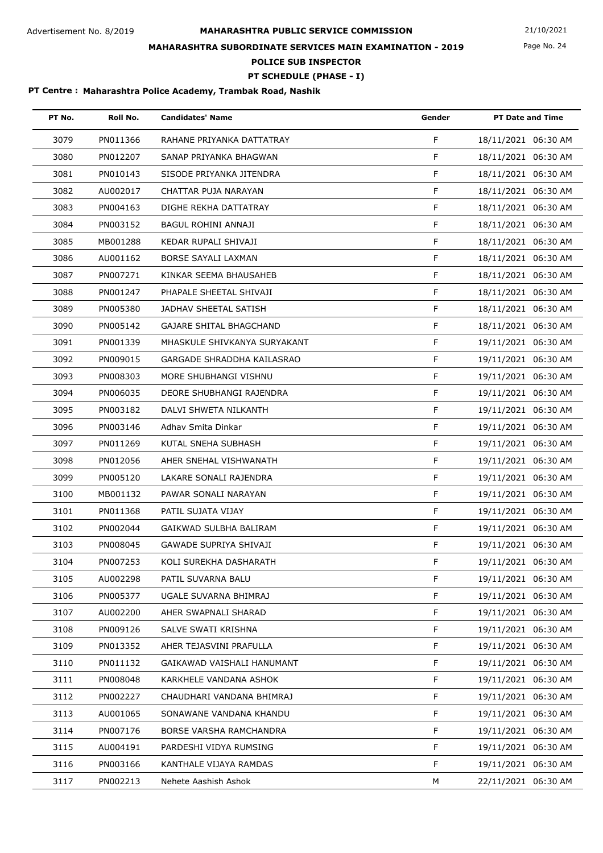Page No. 24

## **MAHARASHTRA SUBORDINATE SERVICES MAIN EXAMINATION - 2019**

**POLICE SUB INSPECTOR**

**PT SCHEDULE (PHASE - I)**

| PT No. | Roll No. | <b>Candidates' Name</b>        | Gender      | <b>PT Date and Time</b> |
|--------|----------|--------------------------------|-------------|-------------------------|
| 3079   | PN011366 | RAHANE PRIYANKA DATTATRAY      | F           | 18/11/2021 06:30 AM     |
| 3080   | PN012207 | SANAP PRIYANKA BHAGWAN         | F           | 18/11/2021 06:30 AM     |
| 3081   | PN010143 | SISODE PRIYANKA JITENDRA       | F           | 18/11/2021 06:30 AM     |
| 3082   | AU002017 | CHATTAR PUJA NARAYAN           | F           | 18/11/2021 06:30 AM     |
| 3083   | PN004163 | DIGHE REKHA DATTATRAY          | F           | 18/11/2021 06:30 AM     |
| 3084   | PN003152 | BAGUL ROHINI ANNAJI            | F           | 18/11/2021 06:30 AM     |
| 3085   | MB001288 | KEDAR RUPALI SHIVAJI           | F           | 18/11/2021 06:30 AM     |
| 3086   | AU001162 | BORSE SAYALI LAXMAN            | F           | 18/11/2021 06:30 AM     |
| 3087   | PN007271 | KINKAR SEEMA BHAUSAHEB         | F           | 18/11/2021 06:30 AM     |
| 3088   | PN001247 | PHAPALE SHEETAL SHIVAJI        | F           | 18/11/2021 06:30 AM     |
| 3089   | PN005380 | JADHAV SHEETAL SATISH          | F           | 18/11/2021 06:30 AM     |
| 3090   | PN005142 | <b>GAJARE SHITAL BHAGCHAND</b> | F           | 18/11/2021 06:30 AM     |
| 3091   | PN001339 | MHASKULE SHIVKANYA SURYAKANT   | F           | 19/11/2021 06:30 AM     |
| 3092   | PN009015 | GARGADE SHRADDHA KAILASRAO     | F           | 19/11/2021 06:30 AM     |
| 3093   | PN008303 | MORE SHUBHANGI VISHNU          | F           | 19/11/2021 06:30 AM     |
| 3094   | PN006035 | DEORE SHUBHANGI RAJENDRA       | F           | 19/11/2021 06:30 AM     |
| 3095   | PN003182 | DALVI SHWETA NILKANTH          | F           | 19/11/2021 06:30 AM     |
| 3096   | PN003146 | Adhav Smita Dinkar             | F           | 19/11/2021 06:30 AM     |
| 3097   | PN011269 | KUTAL SNEHA SUBHASH            | F           | 19/11/2021 06:30 AM     |
| 3098   | PN012056 | AHER SNEHAL VISHWANATH         | F           | 19/11/2021 06:30 AM     |
| 3099   | PN005120 | LAKARE SONALI RAJENDRA         | F           | 19/11/2021 06:30 AM     |
| 3100   | MB001132 | PAWAR SONALI NARAYAN           | F           | 19/11/2021 06:30 AM     |
| 3101   | PN011368 | PATIL SUJATA VIJAY             | F           | 19/11/2021 06:30 AM     |
| 3102   | PN002044 | GAIKWAD SULBHA BALIRAM         | F           | 19/11/2021 06:30 AM     |
| 3103   | PN008045 | GAWADE SUPRIYA SHIVAJI         | F           | 19/11/2021 06:30 AM     |
| 3104   | PN007253 | KOLI SUREKHA DASHARATH         | F.          | 19/11/2021 06:30 AM     |
| 3105   | AU002298 | PATIL SUVARNA BALU             | F           | 19/11/2021 06:30 AM     |
| 3106   | PN005377 | UGALE SUVARNA BHIMRAJ          | F           | 19/11/2021 06:30 AM     |
| 3107   | AU002200 | AHER SWAPNALI SHARAD           | F           | 19/11/2021 06:30 AM     |
| 3108   | PN009126 | SALVE SWATI KRISHNA            | F           | 19/11/2021 06:30 AM     |
| 3109   | PN013352 | AHER TEJASVINI PRAFULLA        | F           | 19/11/2021 06:30 AM     |
| 3110   | PN011132 | GAIKAWAD VAISHALI HANUMANT     | F           | 19/11/2021 06:30 AM     |
| 3111   | PN008048 | KARKHELE VANDANA ASHOK         | F           | 19/11/2021 06:30 AM     |
| 3112   | PN002227 | CHAUDHARI VANDANA BHIMRAJ      | F           | 19/11/2021 06:30 AM     |
| 3113   | AU001065 | SONAWANE VANDANA KHANDU        | $\mathsf F$ | 19/11/2021 06:30 AM     |
| 3114   | PN007176 | BORSE VARSHA RAMCHANDRA        | F           | 19/11/2021 06:30 AM     |
| 3115   | AU004191 | PARDESHI VIDYA RUMSING         | F           | 19/11/2021 06:30 AM     |
| 3116   | PN003166 | KANTHALE VIJAYA RAMDAS         | F           | 19/11/2021 06:30 AM     |
| 3117   | PN002213 | Nehete Aashish Ashok           | М           | 22/11/2021 06:30 AM     |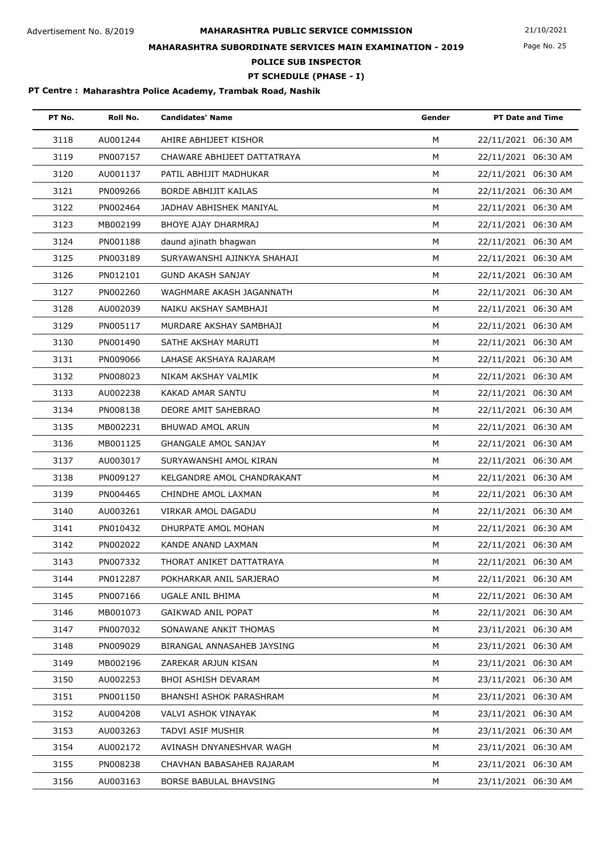Page No. 25

## **MAHARASHTRA SUBORDINATE SERVICES MAIN EXAMINATION - 2019**

**POLICE SUB INSPECTOR**

**PT SCHEDULE (PHASE - I)**

| PT No. | Roll No. | <b>Candidates' Name</b>     | Gender | <b>PT Date and Time</b> |
|--------|----------|-----------------------------|--------|-------------------------|
| 3118   | AU001244 | AHIRE ABHIJEET KISHOR       | M      | 22/11/2021 06:30 AM     |
| 3119   | PN007157 | CHAWARE ABHIJEET DATTATRAYA | M      | 22/11/2021 06:30 AM     |
| 3120   | AU001137 | PATIL ABHIJIT MADHUKAR      | M      | 22/11/2021 06:30 AM     |
| 3121   | PN009266 | <b>BORDE ABHIJIT KAILAS</b> | M      | 22/11/2021 06:30 AM     |
| 3122   | PN002464 | JADHAV ABHISHEK MANIYAL     | M      | 22/11/2021 06:30 AM     |
| 3123   | MB002199 | BHOYE AJAY DHARMRAJ         | M      | 22/11/2021 06:30 AM     |
| 3124   | PN001188 | daund ajinath bhagwan       | M      | 22/11/2021 06:30 AM     |
| 3125   | PN003189 | SURYAWANSHI AJINKYA SHAHAJI | M      | 22/11/2021 06:30 AM     |
| 3126   | PN012101 | <b>GUND AKASH SANJAY</b>    | M      | 22/11/2021 06:30 AM     |
| 3127   | PN002260 | WAGHMARE AKASH JAGANNATH    | M      | 22/11/2021 06:30 AM     |
| 3128   | AU002039 | NAIKU AKSHAY SAMBHAJI       | M      | 22/11/2021 06:30 AM     |
| 3129   | PN005117 | MURDARE AKSHAY SAMBHAJI     | M      | 22/11/2021 06:30 AM     |
| 3130   | PN001490 | SATHE AKSHAY MARUTI         | M      | 22/11/2021 06:30 AM     |
| 3131   | PN009066 | LAHASE AKSHAYA RAJARAM      | M      | 22/11/2021 06:30 AM     |
| 3132   | PN008023 | NIKAM AKSHAY VALMIK         | M      | 22/11/2021 06:30 AM     |
| 3133   | AU002238 | KAKAD AMAR SANTU            | M      | 22/11/2021 06:30 AM     |
| 3134   | PN008138 | DEORE AMIT SAHEBRAO         | М      | 22/11/2021 06:30 AM     |
| 3135   | MB002231 | BHUWAD AMOL ARUN            | M      | 22/11/2021 06:30 AM     |
| 3136   | MB001125 | <b>GHANGALE AMOL SANJAY</b> | M      | 22/11/2021 06:30 AM     |
| 3137   | AU003017 | SURYAWANSHI AMOL KIRAN      | M      | 22/11/2021 06:30 AM     |
| 3138   | PN009127 | KELGANDRE AMOL CHANDRAKANT  | M      | 22/11/2021 06:30 AM     |
| 3139   | PN004465 | CHINDHE AMOL LAXMAN         | м      | 22/11/2021 06:30 AM     |
| 3140   | AU003261 | VIRKAR AMOL DAGADU          | M      | 22/11/2021 06:30 AM     |
| 3141   | PN010432 | DHURPATE AMOL MOHAN         | M      | 22/11/2021 06:30 AM     |
| 3142   | PN002022 | KANDE ANAND LAXMAN          | M      | 22/11/2021 06:30 AM     |
| 3143   | PN007332 | THORAT ANIKET DATTATRAYA    | М      | 22/11/2021 06:30 AM     |
| 3144   | PN012287 | POKHARKAR ANIL SARJERAO     | M      | 22/11/2021 06:30 AM     |
| 3145   | PN007166 | UGALE ANIL BHIMA            | м      | 22/11/2021 06:30 AM     |
| 3146   | MB001073 | GAIKWAD ANIL POPAT          | M      | 22/11/2021 06:30 AM     |
| 3147   | PN007032 | SONAWANE ANKIT THOMAS       | м      | 23/11/2021 06:30 AM     |
| 3148   | PN009029 | BIRANGAL ANNASAHEB JAYSING  | м      | 23/11/2021 06:30 AM     |
| 3149   | MB002196 | ZAREKAR ARJUN KISAN         | M      | 23/11/2021 06:30 AM     |
| 3150   | AU002253 | BHOI ASHISH DEVARAM         | М      | 23/11/2021 06:30 AM     |
| 3151   | PN001150 | BHANSHI ASHOK PARASHRAM     | М      | 23/11/2021 06:30 AM     |
| 3152   | AU004208 | VALVI ASHOK VINAYAK         | м      | 23/11/2021 06:30 AM     |
| 3153   | AU003263 | TADVI ASIF MUSHIR           | м      | 23/11/2021 06:30 AM     |
| 3154   | AU002172 | AVINASH DNYANESHVAR WAGH    | м      | 23/11/2021 06:30 AM     |
| 3155   | PN008238 | CHAVHAN BABASAHEB RAJARAM   | M      | 23/11/2021 06:30 AM     |
| 3156   | AU003163 | BORSE BABULAL BHAVSING      | М      | 23/11/2021 06:30 AM     |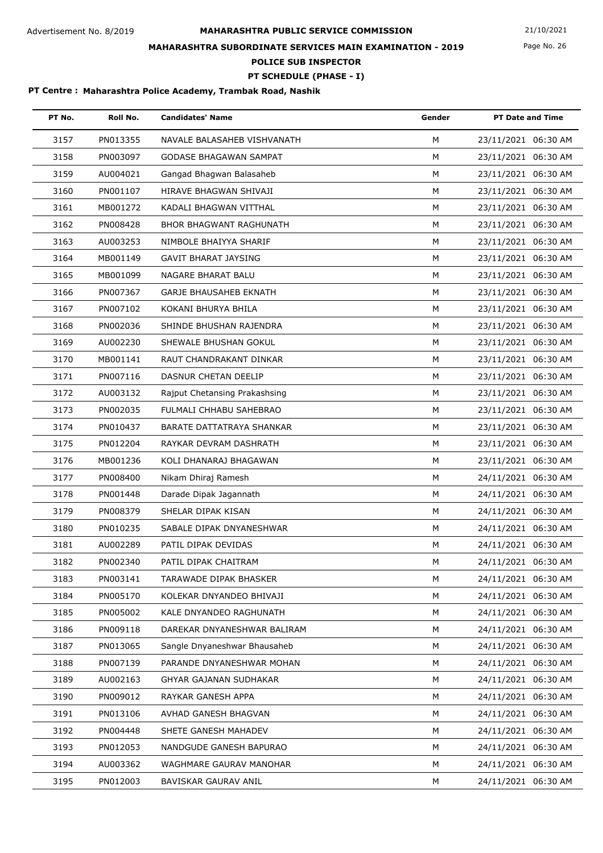# **MAHARASHTRA PUBLIC SERVICE COMMISSION** Advertisement No. 8/2019 21/10/2021 **MAHARASHTRA SUBORDINATE SERVICES MAIN EXAMINATION - 2019**

Page No. 26

**POLICE SUB INSPECTOR**

### **PT SCHEDULE (PHASE - I)**

| PT No. | Roll No. | <b>Candidates' Name</b>        | Gender | <b>PT Date and Time</b> |
|--------|----------|--------------------------------|--------|-------------------------|
| 3157   | PN013355 | NAVALE BALASAHEB VISHVANATH    | M      | 23/11/2021 06:30 AM     |
| 3158   | PN003097 | <b>GODASE BHAGAWAN SAMPAT</b>  | M      | 23/11/2021 06:30 AM     |
| 3159   | AU004021 | Gangad Bhagwan Balasaheb       | М      | 23/11/2021 06:30 AM     |
| 3160   | PN001107 | HIRAVE BHAGWAN SHIVAJI         | М      | 23/11/2021 06:30 AM     |
| 3161   | MB001272 | KADALI BHAGWAN VITTHAL         | M      | 23/11/2021 06:30 AM     |
| 3162   | PN008428 | <b>BHOR BHAGWANT RAGHUNATH</b> | M      | 23/11/2021 06:30 AM     |
| 3163   | AU003253 | NIMBOLE BHAIYYA SHARIF         | M      | 23/11/2021 06:30 AM     |
| 3164   | MB001149 | <b>GAVIT BHARAT JAYSING</b>    | M      | 23/11/2021 06:30 AM     |
| 3165   | MB001099 | NAGARE BHARAT BALU             | м      | 23/11/2021 06:30 AM     |
| 3166   | PN007367 | <b>GARJE BHAUSAHEB EKNATH</b>  | M      | 23/11/2021 06:30 AM     |
| 3167   | PN007102 | KOKANI BHURYA BHILA            | M      | 23/11/2021 06:30 AM     |
| 3168   | PN002036 | SHINDE BHUSHAN RAJENDRA        | M      | 23/11/2021 06:30 AM     |
| 3169   | AU002230 | SHEWALE BHUSHAN GOKUL          | M      | 23/11/2021 06:30 AM     |
| 3170   | MB001141 | RAUT CHANDRAKANT DINKAR        | M      | 23/11/2021 06:30 AM     |
| 3171   | PN007116 | DASNUR CHETAN DEELIP           | M      | 23/11/2021 06:30 AM     |
| 3172   | AU003132 | Rajput Chetansing Prakashsing  | M      | 23/11/2021 06:30 AM     |
| 3173   | PN002035 | FULMALI CHHABU SAHEBRAO        | M      | 23/11/2021 06:30 AM     |
| 3174   | PN010437 | BARATE DATTATRAYA SHANKAR      | M      | 23/11/2021 06:30 AM     |
| 3175   | PN012204 | RAYKAR DEVRAM DASHRATH         | M      | 23/11/2021 06:30 AM     |
| 3176   | MB001236 | KOLI DHANARAJ BHAGAWAN         | M      | 23/11/2021 06:30 AM     |
| 3177   | PN008400 | Nikam Dhiraj Ramesh            | M      | 24/11/2021 06:30 AM     |
| 3178   | PN001448 | Darade Dipak Jagannath         | M      | 24/11/2021 06:30 AM     |
| 3179   | PN008379 | SHELAR DIPAK KISAN             | M      | 24/11/2021 06:30 AM     |
| 3180   | PN010235 | SABALE DIPAK DNYANESHWAR       | M      | 24/11/2021 06:30 AM     |
| 3181   | AU002289 | PATIL DIPAK DEVIDAS            | M      | 24/11/2021 06:30 AM     |
| 3182   | PN002340 | PATIL DIPAK CHAITRAM           | M      | 24/11/2021 06:30 AM     |
| 3183   | PN003141 | TARAWADE DIPAK BHASKER         | м      | 24/11/2021 06:30 AM     |
| 3184   | PN005170 | KOLEKAR DNYANDEO BHIVAJI       | M      | 24/11/2021 06:30 AM     |
| 3185   | PN005002 | KALE DNYANDEO RAGHUNATH        | M      | 24/11/2021 06:30 AM     |
| 3186   | PN009118 | DAREKAR DNYANESHWAR BALIRAM    | M      | 24/11/2021 06:30 AM     |
| 3187   | PN013065 | Sangle Dnyaneshwar Bhausaheb   | М      | 24/11/2021 06:30 AM     |
| 3188   | PN007139 | PARANDE DNYANESHWAR MOHAN      | M      | 24/11/2021 06:30 AM     |
| 3189   | AU002163 | GHYAR GAJANAN SUDHAKAR         | М      | 24/11/2021 06:30 AM     |
| 3190   | PN009012 | RAYKAR GANESH APPA             | M      | 24/11/2021 06:30 AM     |
| 3191   | PN013106 | AVHAD GANESH BHAGVAN           | М      | 24/11/2021 06:30 AM     |
| 3192   | PN004448 | SHETE GANESH MAHADEV           | м      | 24/11/2021 06:30 AM     |
| 3193   | PN012053 | NANDGUDE GANESH BAPURAO        | M      | 24/11/2021 06:30 AM     |
| 3194   | AU003362 | WAGHMARE GAURAV MANOHAR        | М      | 24/11/2021 06:30 AM     |
| 3195   | PN012003 | BAVISKAR GAURAV ANIL           | М      | 24/11/2021 06:30 AM     |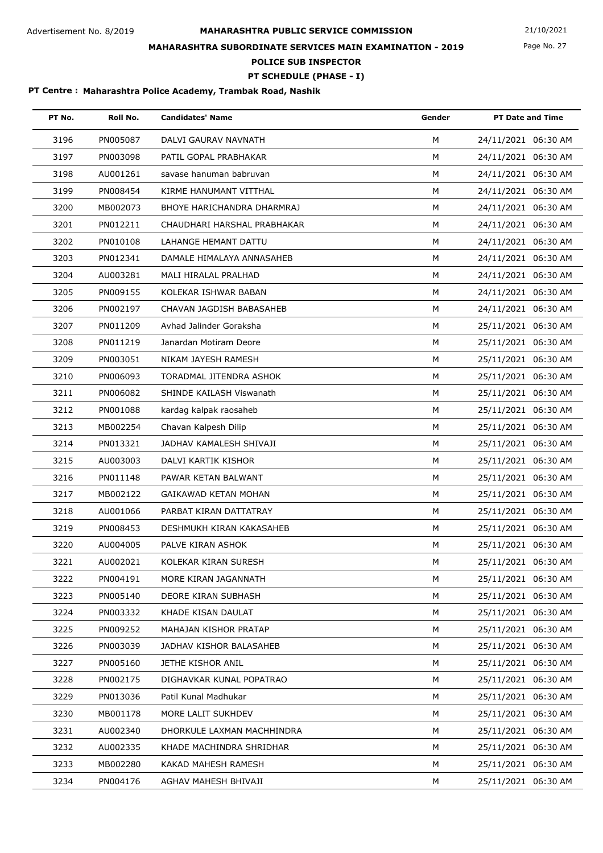Page No. 27

## **MAHARASHTRA SUBORDINATE SERVICES MAIN EXAMINATION - 2019**

**POLICE SUB INSPECTOR**

**PT SCHEDULE (PHASE - I)**

| PT No. | Roll No. | <b>Candidates' Name</b>     | Gender | <b>PT Date and Time</b> |
|--------|----------|-----------------------------|--------|-------------------------|
| 3196   | PN005087 | DALVI GAURAV NAVNATH        | M      | 24/11/2021 06:30 AM     |
| 3197   | PN003098 | PATIL GOPAL PRABHAKAR       | M      | 24/11/2021 06:30 AM     |
| 3198   | AU001261 | savase hanuman babruvan     | М      | 24/11/2021 06:30 AM     |
| 3199   | PN008454 | KIRME HANUMANT VITTHAL      | М      | 24/11/2021 06:30 AM     |
| 3200   | MB002073 | BHOYE HARICHANDRA DHARMRAJ  | M      | 24/11/2021 06:30 AM     |
| 3201   | PN012211 | CHAUDHARI HARSHAL PRABHAKAR | M      | 24/11/2021 06:30 AM     |
| 3202   | PN010108 | LAHANGE HEMANT DATTU        | М      | 24/11/2021 06:30 AM     |
| 3203   | PN012341 | DAMALE HIMALAYA ANNASAHEB   | М      | 24/11/2021 06:30 AM     |
| 3204   | AU003281 | MALI HIRALAL PRALHAD        | M      | 24/11/2021 06:30 AM     |
| 3205   | PN009155 | KOLEKAR ISHWAR BABAN        | M      | 24/11/2021 06:30 AM     |
| 3206   | PN002197 | CHAVAN JAGDISH BABASAHEB    | M      | 24/11/2021 06:30 AM     |
| 3207   | PN011209 | Avhad Jalinder Goraksha     | М      | 25/11/2021 06:30 AM     |
| 3208   | PN011219 | Janardan Motiram Deore      | M      | 25/11/2021 06:30 AM     |
| 3209   | PN003051 | NIKAM JAYESH RAMESH         | M      | 25/11/2021 06:30 AM     |
| 3210   | PN006093 | TORADMAL JITENDRA ASHOK     | M      | 25/11/2021 06:30 AM     |
| 3211   | PN006082 | SHINDE KAILASH Viswanath    | М      | 25/11/2021 06:30 AM     |
| 3212   | PN001088 | kardag kalpak raosaheb      | М      | 25/11/2021 06:30 AM     |
| 3213   | MB002254 | Chavan Kalpesh Dilip        | M      | 25/11/2021 06:30 AM     |
| 3214   | PN013321 | JADHAV KAMALESH SHIVAJI     | M      | 25/11/2021 06:30 AM     |
| 3215   | AU003003 | DALVI KARTIK KISHOR         | М      | 25/11/2021 06:30 AM     |
| 3216   | PN011148 | PAWAR KETAN BALWANT         | M      | 25/11/2021 06:30 AM     |
| 3217   | MB002122 | GAIKAWAD KETAN MOHAN        | М      | 25/11/2021 06:30 AM     |
| 3218   | AU001066 | PARBAT KIRAN DATTATRAY      | M      | 25/11/2021 06:30 AM     |
| 3219   | PN008453 | DESHMUKH KIRAN KAKASAHEB    | М      | 25/11/2021 06:30 AM     |
| 3220   | AU004005 | PALVE KIRAN ASHOK           | М      | 25/11/2021 06:30 AM     |
| 3221   | AU002021 | KOLEKAR KIRAN SURESH        | М      | 25/11/2021 06:30 AM     |
| 3222   | PN004191 | MORE KIRAN JAGANNATH        | M      | 25/11/2021 06:30 AM     |
| 3223   | PN005140 | DEORE KIRAN SUBHASH         | м      | 25/11/2021 06:30 AM     |
| 3224   | PN003332 | KHADE KISAN DAULAT          | M      | 25/11/2021 06:30 AM     |
| 3225   | PN009252 | MAHAJAN KISHOR PRATAP       | м      | 25/11/2021 06:30 AM     |
| 3226   | PN003039 | JADHAV KISHOR BALASAHEB     | м      | 25/11/2021 06:30 AM     |
| 3227   | PN005160 | JETHE KISHOR ANIL           | м      | 25/11/2021 06:30 AM     |
| 3228   | PN002175 | DIGHAVKAR KUNAL POPATRAO    | M      | 25/11/2021 06:30 AM     |
| 3229   | PN013036 | Patil Kunal Madhukar        | M      | 25/11/2021 06:30 AM     |
| 3230   | MB001178 | MORE LALIT SUKHDEV          | м      | 25/11/2021 06:30 AM     |
| 3231   | AU002340 | DHORKULE LAXMAN MACHHINDRA  | м      | 25/11/2021 06:30 AM     |
| 3232   | AU002335 | KHADE MACHINDRA SHRIDHAR    | M      | 25/11/2021 06:30 AM     |
| 3233   | MB002280 | KAKAD MAHESH RAMESH         | M      | 25/11/2021 06:30 AM     |
| 3234   | PN004176 | AGHAV MAHESH BHIVAJI        | М      | 25/11/2021 06:30 AM     |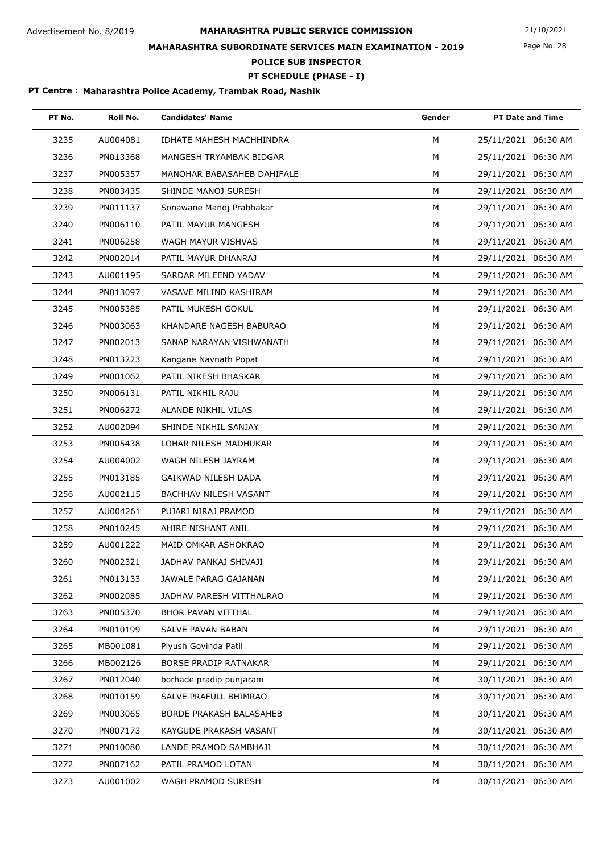# **MAHARASHTRA PUBLIC SERVICE COMMISSION** Advertisement No. 8/2019 21/10/2021 **MAHARASHTRA SUBORDINATE SERVICES MAIN EXAMINATION - 2019**

Page No. 28

**POLICE SUB INSPECTOR**

### **PT SCHEDULE (PHASE - I)**

| PT No. | Roll No. | <b>Candidates' Name</b>      | Gender | <b>PT Date and Time</b> |
|--------|----------|------------------------------|--------|-------------------------|
| 3235   | AU004081 | IDHATE MAHESH MACHHINDRA     | M      | 25/11/2021 06:30 AM     |
| 3236   | PN013368 | MANGESH TRYAMBAK BIDGAR      | M      | 25/11/2021 06:30 AM     |
| 3237   | PN005357 | MANOHAR BABASAHEB DAHIFALE   | M      | 29/11/2021 06:30 AM     |
| 3238   | PN003435 | SHINDE MANOJ SURESH          | М      | 29/11/2021 06:30 AM     |
| 3239   | PN011137 | Sonawane Manoj Prabhakar     | M      | 29/11/2021 06:30 AM     |
| 3240   | PN006110 | PATIL MAYUR MANGESH          | M      | 29/11/2021 06:30 AM     |
| 3241   | PN006258 | WAGH MAYUR VISHVAS           | M      | 29/11/2021 06:30 AM     |
| 3242   | PN002014 | PATIL MAYUR DHANRAJ          | M      | 29/11/2021 06:30 AM     |
| 3243   | AU001195 | SARDAR MILEEND YADAV         | М      | 29/11/2021 06:30 AM     |
| 3244   | PN013097 | VASAVE MILIND KASHIRAM       | M      | 29/11/2021 06:30 AM     |
| 3245   | PN005385 | PATIL MUKESH GOKUL           | М      | 29/11/2021 06:30 AM     |
| 3246   | PN003063 | KHANDARE NAGESH BABURAO      | M      | 29/11/2021 06:30 AM     |
| 3247   | PN002013 | SANAP NARAYAN VISHWANATH     | M      | 29/11/2021 06:30 AM     |
| 3248   | PN013223 | Kangane Navnath Popat        | М      | 29/11/2021 06:30 AM     |
| 3249   | PN001062 | PATIL NIKESH BHASKAR         | M      | 29/11/2021 06:30 AM     |
| 3250   | PN006131 | PATIL NIKHIL RAJU            | M      | 29/11/2021 06:30 AM     |
| 3251   | PN006272 | ALANDE NIKHIL VILAS          | M      | 29/11/2021 06:30 AM     |
| 3252   | AU002094 | SHINDE NIKHIL SANJAY         | М      | 29/11/2021 06:30 AM     |
| 3253   | PN005438 | LOHAR NILESH MADHUKAR        | M      | 29/11/2021 06:30 AM     |
| 3254   | AU004002 | WAGH NILESH JAYRAM           | M      | 29/11/2021 06:30 AM     |
| 3255   | PN013185 | GAIKWAD NILESH DADA          | M      | 29/11/2021 06:30 AM     |
| 3256   | AU002115 | <b>BACHHAV NILESH VASANT</b> | М      | 29/11/2021 06:30 AM     |
| 3257   | AU004261 | PUJARI NIRAJ PRAMOD          | М      | 29/11/2021 06:30 AM     |
| 3258   | PN010245 | AHIRE NISHANT ANIL           | M      | 29/11/2021 06:30 AM     |
| 3259   | AU001222 | MAID OMKAR ASHOKRAO          | М      | 29/11/2021 06:30 AM     |
| 3260   | PN002321 | JADHAV PANKAJ SHIVAJI        | М      | 29/11/2021 06:30 AM     |
| 3261   | PN013133 | JAWALE PARAG GAJANAN         | M      | 29/11/2021 06:30 AM     |
| 3262   | PN002085 | JADHAV PARESH VITTHALRAO     | M      | 29/11/2021 06:30 AM     |
| 3263   | PN005370 | BHOR PAVAN VITTHAL           | М      | 29/11/2021 06:30 AM     |
| 3264   | PN010199 | SALVE PAVAN BABAN            | М      | 29/11/2021 06:30 AM     |
| 3265   | MB001081 | Piyush Govinda Patil         | м      | 29/11/2021 06:30 AM     |
| 3266   | MB002126 | <b>BORSE PRADIP RATNAKAR</b> | M      | 29/11/2021 06:30 AM     |
| 3267   | PN012040 | borhade pradip punjaram      | М      | 30/11/2021 06:30 AM     |
| 3268   | PN010159 | SALVE PRAFULL BHIMRAO        | М      | 30/11/2021 06:30 AM     |
| 3269   | PN003065 | BORDE PRAKASH BALASAHEB      | м      | 30/11/2021 06:30 AM     |
| 3270   | PN007173 | KAYGUDE PRAKASH VASANT       | м      | 30/11/2021 06:30 AM     |
| 3271   | PN010080 | LANDE PRAMOD SAMBHAJI        | М      | 30/11/2021 06:30 AM     |
| 3272   | PN007162 | PATIL PRAMOD LOTAN           | м      | 30/11/2021 06:30 AM     |
| 3273   | AU001002 | WAGH PRAMOD SURESH           | M      | 30/11/2021 06:30 AM     |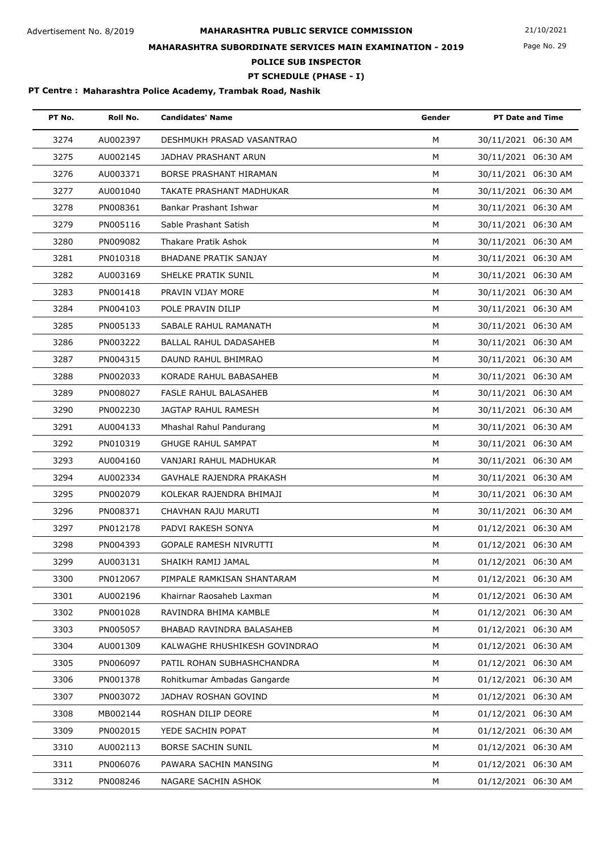# **MAHARASHTRA PUBLIC SERVICE COMMISSION** Advertisement No. 8/2019 21/10/2021 **MAHARASHTRA SUBORDINATE SERVICES MAIN EXAMINATION - 2019**

Page No. 29

**POLICE SUB INSPECTOR**

**PT SCHEDULE (PHASE - I)**

| PT No. | Roll No. | <b>Candidates' Name</b>       | Gender | <b>PT Date and Time</b> |
|--------|----------|-------------------------------|--------|-------------------------|
| 3274   | AU002397 | DESHMUKH PRASAD VASANTRAO     | M      | 30/11/2021 06:30 AM     |
| 3275   | AU002145 | JADHAV PRASHANT ARUN          | M      | 30/11/2021 06:30 AM     |
| 3276   | AU003371 | BORSE PRASHANT HIRAMAN        | M      | 30/11/2021 06:30 AM     |
| 3277   | AU001040 | TAKATE PRASHANT MADHUKAR      | М      | 30/11/2021 06:30 AM     |
| 3278   | PN008361 | Bankar Prashant Ishwar        | M      | 30/11/2021 06:30 AM     |
| 3279   | PN005116 | Sable Prashant Satish         | M      | 30/11/2021 06:30 AM     |
| 3280   | PN009082 | Thakare Pratik Ashok          | M      | 30/11/2021 06:30 AM     |
| 3281   | PN010318 | BHADANE PRATIK SANJAY         | M      | 30/11/2021 06:30 AM     |
| 3282   | AU003169 | SHELKE PRATIK SUNIL           | M      | 30/11/2021 06:30 AM     |
| 3283   | PN001418 | PRAVIN VIJAY MORE             | M      | 30/11/2021 06:30 AM     |
| 3284   | PN004103 | POLE PRAVIN DILIP             | M      | 30/11/2021 06:30 AM     |
| 3285   | PN005133 | SABALE RAHUL RAMANATH         | M      | 30/11/2021 06:30 AM     |
| 3286   | PN003222 | BALLAL RAHUL DADASAHEB        | M      | 30/11/2021 06:30 AM     |
| 3287   | PN004315 | DAUND RAHUL BHIMRAO           | M      | 30/11/2021 06:30 AM     |
| 3288   | PN002033 | KORADE RAHUL BABASAHEB        | M      | 30/11/2021 06:30 AM     |
| 3289   | PN008027 | <b>FASLE RAHUL BALASAHEB</b>  | M      | 30/11/2021 06:30 AM     |
| 3290   | PN002230 | JAGTAP RAHUL RAMESH           | М      | 30/11/2021 06:30 AM     |
| 3291   | AU004133 | Mhashal Rahul Pandurang       | M      | 30/11/2021 06:30 AM     |
| 3292   | PN010319 | <b>GHUGE RAHUL SAMPAT</b>     | M      | 30/11/2021 06:30 AM     |
| 3293   | AU004160 | VANJARI RAHUL MADHUKAR        | M      | 30/11/2021 06:30 AM     |
| 3294   | AU002334 | GAVHALE RAJENDRA PRAKASH      | M      | 30/11/2021 06:30 AM     |
| 3295   | PN002079 | KOLEKAR RAJENDRA BHIMAJI      | м      | 30/11/2021 06:30 AM     |
| 3296   | PN008371 | CHAVHAN RAJU MARUTI           | M      | 30/11/2021 06:30 AM     |
| 3297   | PN012178 | PADVI RAKESH SONYA            | M      | 01/12/2021 06:30 AM     |
| 3298   | PN004393 | <b>GOPALE RAMESH NIVRUTTI</b> | M      | 01/12/2021 06:30 AM     |
| 3299   | AU003131 | SHAIKH RAMIJ JAMAL            | М      | 01/12/2021 06:30 AM     |
| 3300   | PN012067 | PIMPALE RAMKISAN SHANTARAM    | M      | 01/12/2021 06:30 AM     |
| 3301   | AU002196 | Khairnar Raosaheb Laxman      | М      | 01/12/2021 06:30 AM     |
| 3302   | PN001028 | RAVINDRA BHIMA KAMBLE         | М      | 01/12/2021 06:30 AM     |
| 3303   | PN005057 | BHABAD RAVINDRA BALASAHEB     | м      | 01/12/2021 06:30 AM     |
| 3304   | AU001309 | KALWAGHE RHUSHIKESH GOVINDRAO | M      | 01/12/2021 06:30 AM     |
| 3305   | PN006097 | PATIL ROHAN SUBHASHCHANDRA    | М      | 01/12/2021 06:30 AM     |
| 3306   | PN001378 | Rohitkumar Ambadas Gangarde   | М      | 01/12/2021 06:30 AM     |
| 3307   | PN003072 | JADHAV ROSHAN GOVIND          | М      | 01/12/2021 06:30 AM     |
| 3308   | MB002144 | ROSHAN DILIP DEORE            | М      | 01/12/2021 06:30 AM     |
| 3309   | PN002015 | YEDE SACHIN POPAT             | м      | 01/12/2021 06:30 AM     |
| 3310   | AU002113 | BORSE SACHIN SUNIL            | М      | 01/12/2021 06:30 AM     |
| 3311   | PN006076 | PAWARA SACHIN MANSING         | М      | 01/12/2021 06:30 AM     |
| 3312   | PN008246 | NAGARE SACHIN ASHOK           | М      | 01/12/2021 06:30 AM     |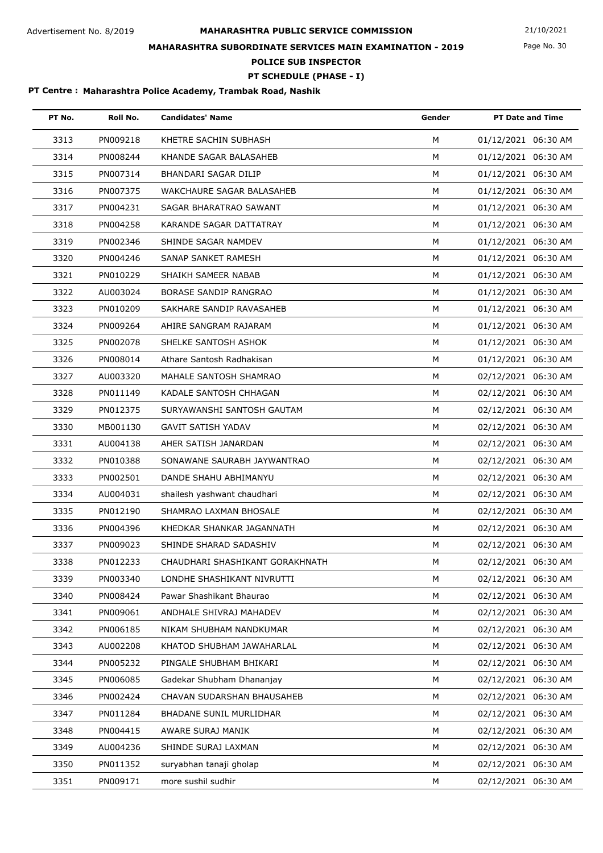Page No. 30

## **MAHARASHTRA SUBORDINATE SERVICES MAIN EXAMINATION - 2019**

**POLICE SUB INSPECTOR**

**PT SCHEDULE (PHASE - I)**

| PT No. | Roll No. | <b>Candidates' Name</b>         | Gender | <b>PT Date and Time</b> |
|--------|----------|---------------------------------|--------|-------------------------|
| 3313   | PN009218 | KHETRE SACHIN SUBHASH           | M      | 01/12/2021 06:30 AM     |
| 3314   | PN008244 | KHANDE SAGAR BALASAHEB          | M      | 01/12/2021 06:30 AM     |
| 3315   | PN007314 | BHANDARI SAGAR DILIP            | М      | 01/12/2021 06:30 AM     |
| 3316   | PN007375 | WAKCHAURE SAGAR BALASAHEB       | м      | 01/12/2021 06:30 AM     |
| 3317   | PN004231 | SAGAR BHARATRAO SAWANT          | M      | 01/12/2021 06:30 AM     |
| 3318   | PN004258 | KARANDE SAGAR DATTATRAY         | M      | 01/12/2021 06:30 AM     |
| 3319   | PN002346 | SHINDE SAGAR NAMDEV             | М      | 01/12/2021 06:30 AM     |
| 3320   | PN004246 | SANAP SANKET RAMESH             | М      | 01/12/2021 06:30 AM     |
| 3321   | PN010229 | SHAIKH SAMEER NABAB             | M      | 01/12/2021 06:30 AM     |
| 3322   | AU003024 | BORASE SANDIP RANGRAO           | М      | 01/12/2021 06:30 AM     |
| 3323   | PN010209 | SAKHARE SANDIP RAVASAHEB        | М      | 01/12/2021 06:30 AM     |
| 3324   | PN009264 | AHIRE SANGRAM RAJARAM           | М      | 01/12/2021 06:30 AM     |
| 3325   | PN002078 | SHELKE SANTOSH ASHOK            | M      | 01/12/2021 06:30 AM     |
| 3326   | PN008014 | Athare Santosh Radhakisan       | M      | 01/12/2021 06:30 AM     |
| 3327   | AU003320 | MAHALE SANTOSH SHAMRAO          | M      | 02/12/2021 06:30 AM     |
| 3328   | PN011149 | KADALE SANTOSH CHHAGAN          | М      | 02/12/2021 06:30 AM     |
| 3329   | PN012375 | SURYAWANSHI SANTOSH GAUTAM      | М      | 02/12/2021 06:30 AM     |
| 3330   | MB001130 | <b>GAVIT SATISH YADAV</b>       | M      | 02/12/2021 06:30 AM     |
| 3331   | AU004138 | AHER SATISH JANARDAN            | М      | 02/12/2021 06:30 AM     |
| 3332   | PN010388 | SONAWANE SAURABH JAYWANTRAO     | М      | 02/12/2021 06:30 AM     |
| 3333   | PN002501 | DANDE SHAHU ABHIMANYU           | М      | 02/12/2021 06:30 AM     |
| 3334   | AU004031 | shailesh yashwant chaudhari     | м      | 02/12/2021 06:30 AM     |
| 3335   | PN012190 | SHAMRAO LAXMAN BHOSALE          | M      | 02/12/2021 06:30 AM     |
| 3336   | PN004396 | KHEDKAR SHANKAR JAGANNATH       | М      | 02/12/2021 06:30 AM     |
| 3337   | PN009023 | SHINDE SHARAD SADASHIV          | М      | 02/12/2021 06:30 AM     |
| 3338   | PN012233 | CHAUDHARI SHASHIKANT GORAKHNATH | м      | 02/12/2021 06:30 AM     |
| 3339   | PN003340 | LONDHE SHASHIKANT NIVRUTTI      | м      | 02/12/2021 06:30 AM     |
| 3340   | PN008424 | Pawar Shashikant Bhaurao        | М      | 02/12/2021 06:30 AM     |
| 3341   | PN009061 | ANDHALE SHIVRAJ MAHADEV         | М      | 02/12/2021 06:30 AM     |
| 3342   | PN006185 | NIKAM SHUBHAM NANDKUMAR         | М      | 02/12/2021 06:30 AM     |
| 3343   | AU002208 | KHATOD SHUBHAM JAWAHARLAL       | м      | 02/12/2021 06:30 AM     |
| 3344   | PN005232 | PINGALE SHUBHAM BHIKARI         | М      | 02/12/2021 06:30 AM     |
| 3345   | PN006085 | Gadekar Shubham Dhananjay       | М      | 02/12/2021 06:30 AM     |
| 3346   | PN002424 | CHAVAN SUDARSHAN BHAUSAHEB      | М      | 02/12/2021 06:30 AM     |
| 3347   | PN011284 | BHADANE SUNIL MURLIDHAR         | м      | 02/12/2021 06:30 AM     |
| 3348   | PN004415 | AWARE SURAJ MANIK               | M      | 02/12/2021 06:30 AM     |
| 3349   | AU004236 | SHINDE SURAJ LAXMAN             | М      | 02/12/2021 06:30 AM     |
| 3350   | PN011352 | suryabhan tanaji gholap         | М      | 02/12/2021 06:30 AM     |
| 3351   | PN009171 | more sushil sudhir              | М      | 02/12/2021 06:30 AM     |